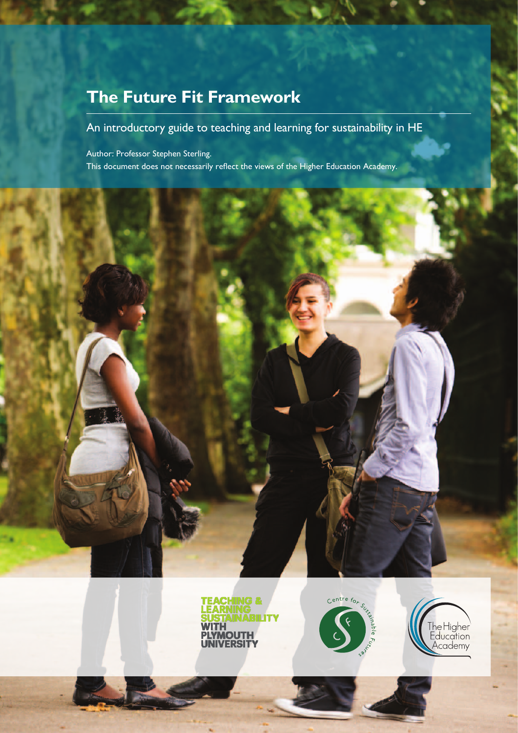# **The Future Fit Framework**

# An introductory guide to teaching and learning for sustainability in HE

Author: Professor Stephen Sterling. This document does not necessarily reflect the views of the Higher Education Academy.







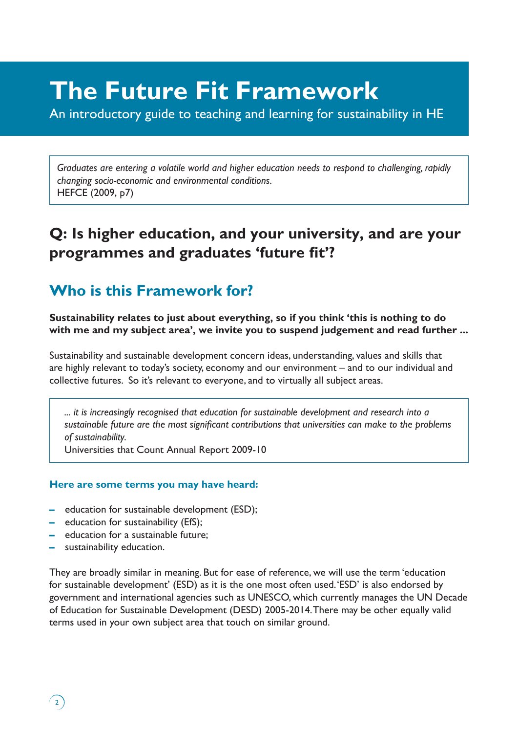# **The Future Fit Framework**

An introductory guide to teaching and learning for sustainability in HE

*Graduates are entering a volatile world and higher education needs to respond to challenging, rapidly changing socio-economic and environmental conditions.* HEFCE (2009, p7)

# **Q: Is higher education, and your university, and are your programmes and graduates 'future fit'?**

# **Who is this Framework for?**

**Sustainability relates to just about everything, so if you think 'this is nothing to do with me and my subject area', we invite you to suspend judgement and read further ...**

Sustainability and sustainable development concern ideas, understanding, values and skills that are highly relevant to today's society, economy and our environment – and to our individual and collective futures. So it's relevant to everyone, and to virtually all subject areas.

*... it is increasingly recognised that education for sustainable development and research into a sustainable future are the most significant contributions that universities can make to the problems of sustainability.*

Universities that Count Annual Report 2009-10

### **Here are some terms you may have heard:**

- **–** education for sustainable development (ESD);
- **–** education for sustainability (EfS);
- **–** education for a sustainable future;
- **–** sustainability education.

 $\left( \frac{1}{2} \right)$ 

They are broadly similar in meaning. But for ease of reference, we will use the term 'education for sustainable development' (ESD) as it is the one most often used. 'ESD' is also endorsed by government and international agencies such as UNESCO, which currently manages the UN Decade of Education for Sustainable Development (DESD) 2005-2014. There may be other equally valid terms used in your own subject area that touch on similar ground.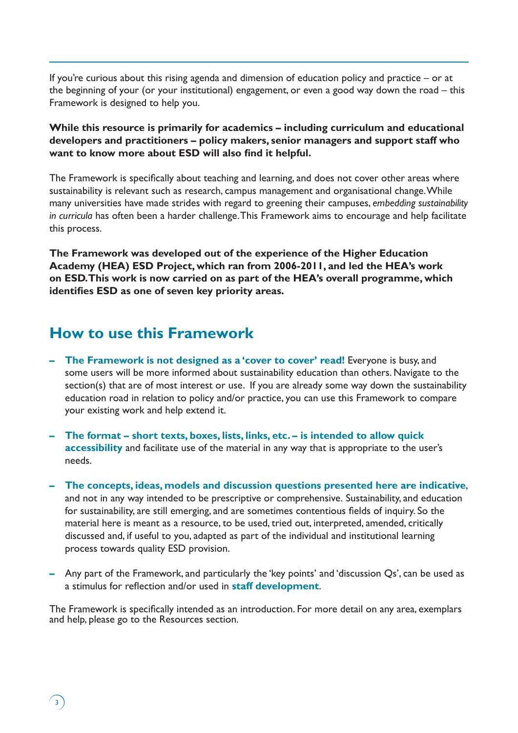If you're curious about this rising agenda and dimension of education policy and practice – or at the beginning of your (or your institutional) engagement, or even a good way down the road – this Framework is designed to help you.

**While this resource is primarily for academics – including curriculum and educational developers and practitioners – policy makers, senior managers and support staff who want to know more about ESD will also find it helpful.**

The Framework is specifically about teaching and learning, and does not cover other areas where sustainability is relevant such as research, campus management and organisational change. While many universities have made strides with regard to greening their campuses, *embedding sustainability in curricula* has often been a harder challenge. This Framework aims to encourage and help facilitate this process.

**The Framework was developed out of the experience of the Higher Education Academy (HEA) ESD Project, which ran from 2006-2011, and led the HEA's work on ESD. This work is now carried on as part of the HEA's overall programme, which identifies ESD as one of seven key priority areas.**

# **How to use this Framework**

 $\left(3\right)$ 

- **– The Framework is not designed as a 'cover to cover' read!** Everyone is busy, and some users will be more informed about sustainability education than others. Navigate to the section(s) that are of most interest or use. If you are already some way down the sustainability education road in relation to policy and/or practice, you can use this Framework to compare your existing work and help extend it.
- **– The format short texts, boxes, lists, links, etc. is intended to allow quick accessibility** and facilitate use of the material in any way that is appropriate to the user's needs.
- **– The concepts, ideas, models and discussion questions presented here are indicative**, and not in any way intended to be prescriptive or comprehensive. Sustainability, and education for sustainability, are still emerging, and are sometimes contentious fields of inquiry. So the material here is meant as a resource, to be used, tried out, interpreted, amended, critically discussed and, if useful to you, adapted as part of the individual and institutional learning process towards quality ESD provision.
- **–** Any part of the Framework, and particularly the 'key points' and 'discussion Qs', can be used as a stimulus for reflection and/or used in **staff development**.

The Framework is specifically intended as an introduction. For more detail on any area, exemplars and help, please go to the Resources section.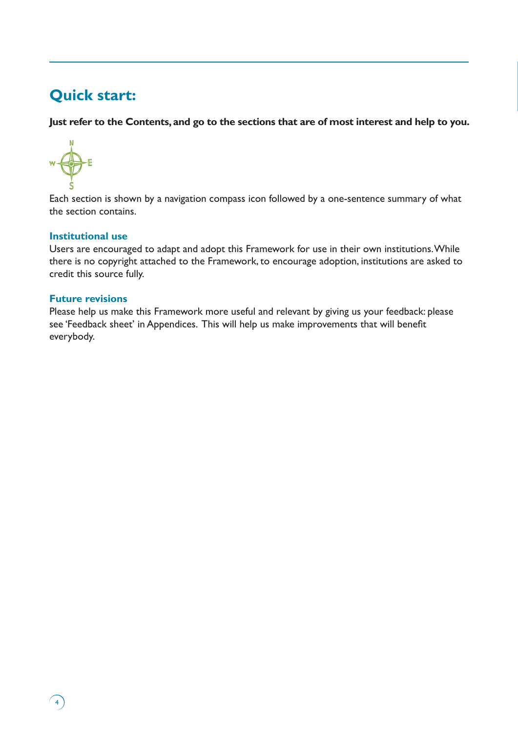# **Quick start:**

**Just refer to the Contents, and go to the sections that are of most interest and help to you.**



Each section is shown by a navigation compass icon followed by a one-sentence summary of what the section contains.

# **Institutional use**

Users are encouraged to adapt and adopt this Framework for use in their own institutions. While there is no copyright attached to the Framework, to encourage adoption, institutions are asked to credit this source fully.

### **Future revisions**

 $\sqrt{4}$ 

Please help us make this Framework more useful and relevant by giving us your feedback: please see 'Feedback sheet' in Appendices. This will help us make improvements that will benefit everybody.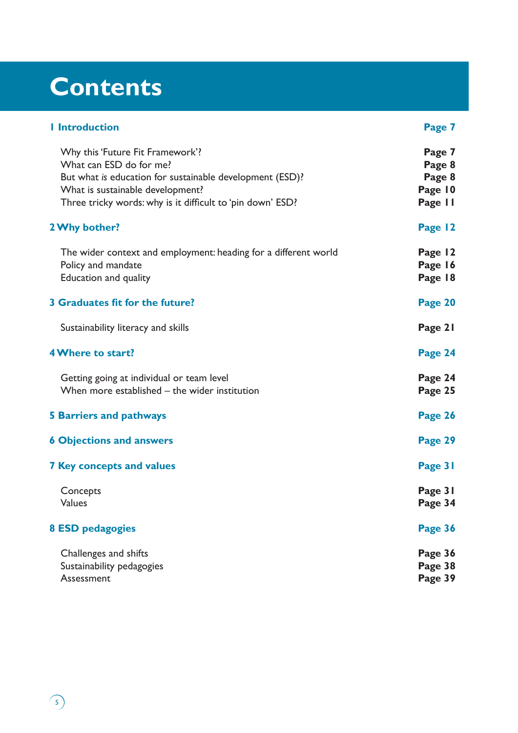# **Contents**

| <b>I</b> Introduction                                                                                                                                                                                                     | Page 7                                           |
|---------------------------------------------------------------------------------------------------------------------------------------------------------------------------------------------------------------------------|--------------------------------------------------|
| Why this 'Future Fit Framework'?<br>What can ESD do for me?<br>But what is education for sustainable development (ESD)?<br>What is sustainable development?<br>Three tricky words: why is it difficult to 'pin down' ESD? | Page 7<br>Page 8<br>Page 8<br>Page 10<br>Page II |
| 2 Why bother?                                                                                                                                                                                                             | Page 12                                          |
| The wider context and employment: heading for a different world<br>Policy and mandate<br>Education and quality                                                                                                            | Page 12<br>Page 16<br>Page 18                    |
| <b>3 Graduates fit for the future?</b>                                                                                                                                                                                    | Page 20                                          |
| Sustainability literacy and skills                                                                                                                                                                                        | Page 21                                          |
| <b>4 Where to start?</b>                                                                                                                                                                                                  | Page 24                                          |
| Getting going at individual or team level<br>When more established – the wider institution                                                                                                                                | Page 24<br>Page 25                               |
| <b>5 Barriers and pathways</b>                                                                                                                                                                                            | Page 26                                          |
| <b>6 Objections and answers</b>                                                                                                                                                                                           | Page 29                                          |
| <b>7 Key concepts and values</b>                                                                                                                                                                                          | Page 31                                          |
| Concepts<br><b>Values</b>                                                                                                                                                                                                 | Page 31<br>Page 34                               |
| <b>8 ESD pedagogies</b>                                                                                                                                                                                                   | Page 36                                          |
| Challenges and shifts<br>Sustainability pedagogies<br>Assessment                                                                                                                                                          | Page 36<br>Page 38<br>Page 39                    |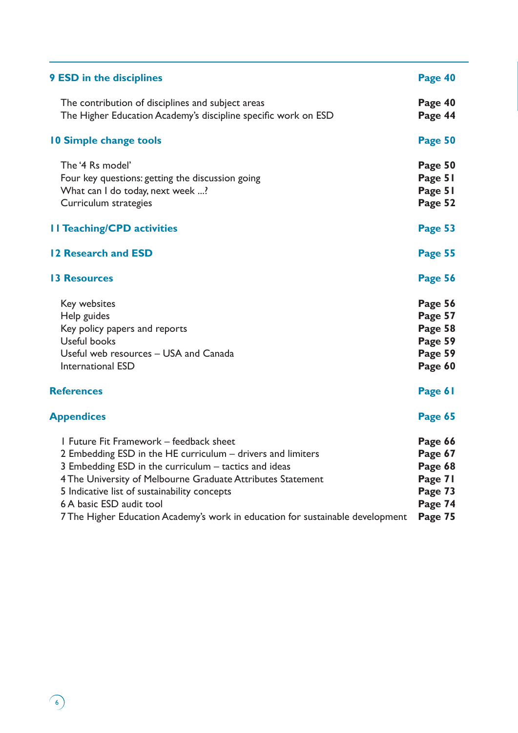| <b>9 ESD in the disciplines</b>                                                                                                                                                                                                                                                                                                                                                              | Page 40                                                                   |
|----------------------------------------------------------------------------------------------------------------------------------------------------------------------------------------------------------------------------------------------------------------------------------------------------------------------------------------------------------------------------------------------|---------------------------------------------------------------------------|
| The contribution of disciplines and subject areas<br>The Higher Education Academy's discipline specific work on ESD                                                                                                                                                                                                                                                                          | Page 40<br>Page 44                                                        |
| <b>10 Simple change tools</b>                                                                                                                                                                                                                                                                                                                                                                | Page 50                                                                   |
| The '4 Rs model'<br>Four key questions: getting the discussion going<br>What can I do today, next week ?<br>Curriculum strategies                                                                                                                                                                                                                                                            | Page 50<br>Page 51<br>Page 51<br>Page 52                                  |
| <b>II Teaching/CPD activities</b>                                                                                                                                                                                                                                                                                                                                                            | Page 53                                                                   |
| 12 Research and ESD                                                                                                                                                                                                                                                                                                                                                                          | Page 55                                                                   |
| <b>13 Resources</b>                                                                                                                                                                                                                                                                                                                                                                          | Page 56                                                                   |
| Key websites<br>Help guides<br>Key policy papers and reports<br><b>Useful books</b><br>Useful web resources - USA and Canada<br>International ESD                                                                                                                                                                                                                                            | Page 56<br>Page 57<br>Page 58<br>Page 59<br>Page 59<br>Page 60            |
| <b>References</b>                                                                                                                                                                                                                                                                                                                                                                            | Page 61                                                                   |
| <b>Appendices</b>                                                                                                                                                                                                                                                                                                                                                                            | Page 65                                                                   |
| I Future Fit Framework - feedback sheet<br>2 Embedding ESD in the HE curriculum - drivers and limiters<br>3 Embedding ESD in the curriculum - tactics and ideas<br>4 The University of Melbourne Graduate Attributes Statement<br>5 Indicative list of sustainability concepts<br>6 A basic ESD audit tool<br>7 The Higher Education Academy's work in education for sustainable development | Page 66<br>Page 67<br>Page 68<br>Page 71<br>Page 73<br>Page 74<br>Page 75 |

6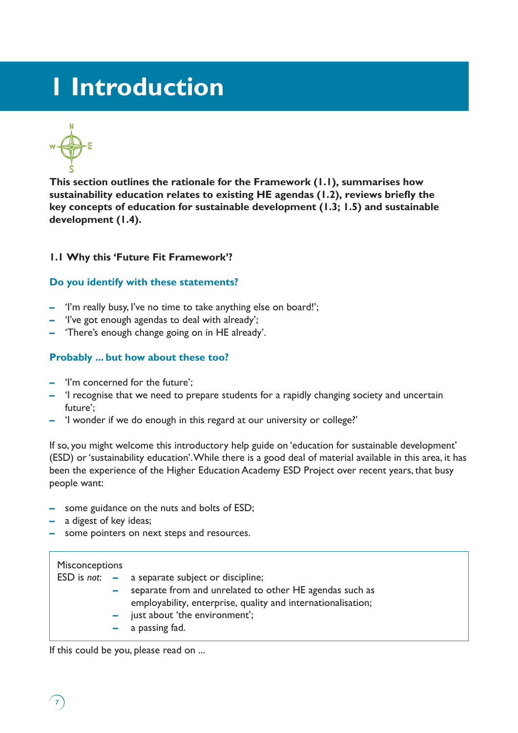# **1 Introduction**



**This section outlines the rationale for the Framework (1.1), summarises how sustainability education relates to existing HE agendas (1.2), reviews briefly the key concepts of education for sustainable development (1.3; 1.5) and sustainable development (1.4).**

# **1.1 Why this 'Future Fit Framework'?**

# **Do you identify with these statements?**

- **–** 'I'm really busy, I've no time to take anything else on board!';
- **–** 'I've got enough agendas to deal with already';
- **–** 'There's enough change going on in HE already'.

# **Probably ... but how about these too?**

- **–** 'I'm concerned for the future';
- **–** 'I recognise that we need to prepare students for a rapidly changing society and uncertain future';
- **–** 'I wonder if we do enough in this regard at our university or college?'

If so, you might welcome this introductory help guide on 'education for sustainable development' (ESD) or 'sustainability education'. While there is a good deal of material available in this area, it has been the experience of the Higher Education Academy ESD Project over recent years, that busy people want:

- **–** some guidance on the nuts and bolts of ESD;
- **–** a digest of key ideas;
- **–** some pointers on next steps and resources.

# **Misconceptions**

 $\mathcal{L}_{7}$ 

|        | $ESD$ is <i>not</i> : $-$ a separate subject or discipline;  |
|--------|--------------------------------------------------------------|
| $\sim$ | separate from and unrelated to other HE agendas such as      |
|        | employability, enterprise, quality and internationalisation; |
|        | $-$ just about 'the environment';                            |
|        | $-$ a passing fad.                                           |
|        |                                                              |

If this could be you, please read on ...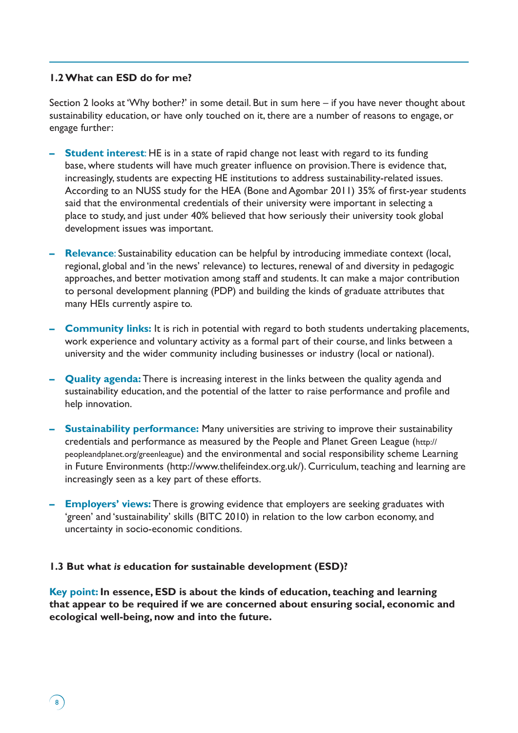### **1.2 What can ESD do for me?**

Section 2 looks at 'Why bother?' in some detail. But in sum here – if you have never thought about sustainability education, or have only touched on it, there are a number of reasons to engage, or engage further:

- **Student interest:** HE is in a state of rapid change not least with regard to its funding base, where students will have much greater influence on provision. There is evidence that, increasingly, students are expecting HE institutions to address sustainability-related issues. According to an NUSS study for the HEA (Bone and Agombar 2011) 35% of first-year students said that the environmental credentials of their university were important in selecting a place to study, and just under 40% believed that how seriously their university took global development issues was important.
- **– Relevance**: Sustainability education can be helpful by introducing immediate context (local, regional, global and 'in the news' relevance) to lectures, renewal of and diversity in pedagogic approaches, and better motivation among staff and students. It can make a major contribution to personal development planning (PDP) and building the kinds of graduate attributes that many HEIs currently aspire to.
- **– Community links:** It is rich in potential with regard to both students undertaking placements, work experience and voluntary activity as a formal part of their course, and links between a university and the wider community including businesses or industry (local or national).
- **– Quality agenda:** There is increasing interest in the links between the quality agenda and sustainability education, and the potential of the latter to raise performance and profile and help innovation.
- **– Sustainability performance:** Many universities are striving to improve their sustainability credentials and performance as measured by the People and Planet Green League (http:// peopleandplanet.org/greenleague) and the environmental and social responsibility scheme Learning in Future Environments (http://www.thelifeindex.org.uk/). Curriculum, teaching and learning are increasingly seen as a key part of these efforts.
- **– Employers' views:** There is growing evidence that employers are seeking graduates with 'green' and 'sustainability' skills (BITC 2010) in relation to the low carbon economy, and uncertainty in socio-economic conditions.

### **1.3 But what** *is* **education for sustainable development (ESD)?**

 $\left( 8\right)$ 

**Key point: In essence, ESD is about the kinds of education, teaching and learning that appear to be required if we are concerned about ensuring social, economic and ecological well-being, now and into the future.**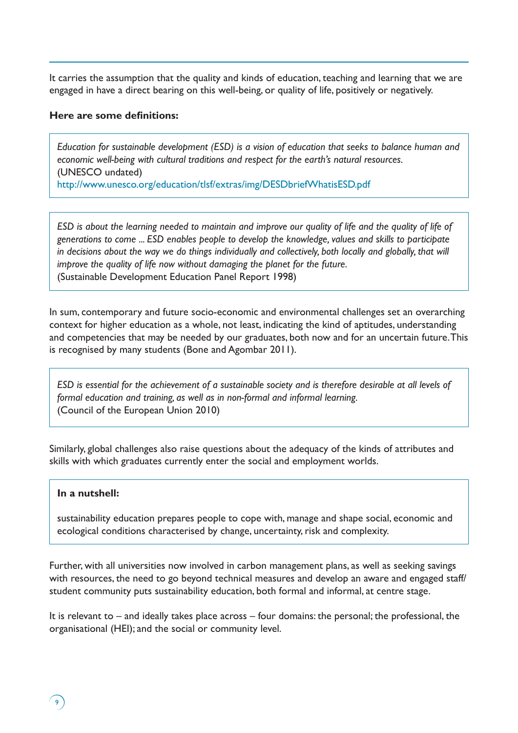It carries the assumption that the quality and kinds of education, teaching and learning that we are engaged in have a direct bearing on this well-being, or quality of life, positively or negatively.

### **Here are some definitions:**

*Education for sustainable development (ESD) is a vision of education that seeks to balance human and economic well-being with cultural traditions and respect for the earth's natural resources.*  (UNESCO undated) http://www.unesco.org/education/tlsf/extras/img/DESDbriefWhatisESD.pdf

*ESD is about the learning needed to maintain and improve our quality of life and the quality of life of generations to come ... ESD enables people to develop the knowledge, values and skills to participate*  in decisions about the way we do things individually and collectively, both locally and globally, that will *improve the quality of life now without damaging the planet for the future.* (Sustainable Development Education Panel Report 1998)

In sum, contemporary and future socio-economic and environmental challenges set an overarching context for higher education as a whole, not least, indicating the kind of aptitudes, understanding and competencies that may be needed by our graduates, both now and for an uncertain future. This is recognised by many students (Bone and Agombar 2011).

*ESD is essential for the achievement of a sustainable society and is therefore desirable at all levels of formal education and training, as well as in non-formal and informal learning.*  (Council of the European Union 2010)

Similarly, global challenges also raise questions about the adequacy of the kinds of attributes and skills with which graduates currently enter the social and employment worlds.

### **In a nutshell:**

໌ງົ

sustainability education prepares people to cope with, manage and shape social, economic and ecological conditions characterised by change, uncertainty, risk and complexity.

Further, with all universities now involved in carbon management plans, as well as seeking savings with resources, the need to go beyond technical measures and develop an aware and engaged staff/ student community puts sustainability education, both formal and informal, at centre stage.

It is relevant to – and ideally takes place across – four domains: the personal; the professional, the organisational (HEI); and the social or community level.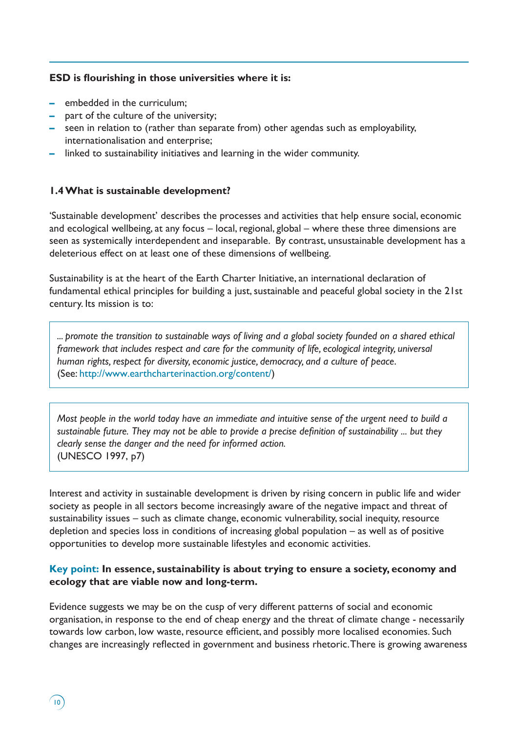### **ESD is flourishing in those universities where it is:**

**–** embedded in the curriculum;

 $\bigg(10\bigg)$ 

- **–** part of the culture of the university;
- **–** seen in relation to (rather than separate from) other agendas such as employability, internationalisation and enterprise;
- **–** linked to sustainability initiatives and learning in the wider community.

# **1.4 What is sustainable development?**

'Sustainable development' describes the processes and activities that help ensure social, economic and ecological wellbeing, at any focus – local, regional, global – where these three dimensions are seen as systemically interdependent and inseparable. By contrast, unsustainable development has a deleterious effect on at least one of these dimensions of wellbeing.

Sustainability is at the heart of the Earth Charter Initiative, an international declaration of fundamental ethical principles for building a just, sustainable and peaceful global society in the 21st century. Its mission is to:

*... promote the transition to sustainable ways of living and a global society founded on a shared ethical framework that includes respect and care for the community of life, ecological integrity, universal human rights, respect for diversity, economic justice, democracy, and a culture of peace*. (See: http://www.earthcharterinaction.org/content/)

*Most people in the world today have an immediate and intuitive sense of the urgent need to build a sustainable future. They may not be able to provide a precise definition of sustainability ... but they clearly sense the danger and the need for informed action.* (UNESCO 1997, p7)

Interest and activity in sustainable development is driven by rising concern in public life and wider society as people in all sectors become increasingly aware of the negative impact and threat of sustainability issues – such as climate change, economic vulnerability, social inequity, resource depletion and species loss in conditions of increasing global population – as well as of positive opportunities to develop more sustainable lifestyles and economic activities.

# **Key point: In essence, sustainability is about trying to ensure a society, economy and ecology that are viable now and long-term.**

Evidence suggests we may be on the cusp of very different patterns of social and economic organisation, in response to the end of cheap energy and the threat of climate change - necessarily towards low carbon, low waste, resource efficient, and possibly more localised economies. Such changes are increasingly reflected in government and business rhetoric. There is growing awareness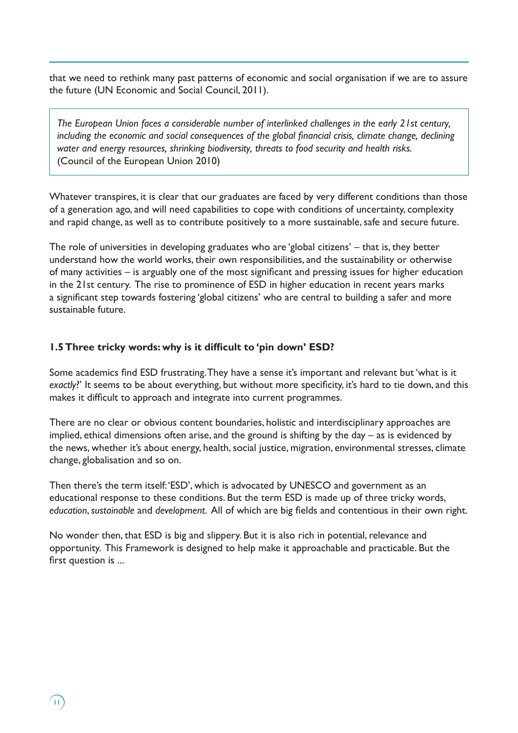that we need to rethink many past patterns of economic and social organisation if we are to assure the future (UN Economic and Social Council, 2011).

*The European Union faces a considerable number of interlinked challenges in the early 21st century, including the economic and social consequences of the global financial crisis, climate change, declining water and energy resources, shrinking biodiversity, threats to food security and health risks.*  (Council of the European Union 2010)

Whatever transpires, it is clear that our graduates are faced by very different conditions than those of a generation ago, and will need capabilities to cope with conditions of uncertainty, complexity and rapid change, as well as to contribute positively to a more sustainable, safe and secure future.

The role of universities in developing graduates who are 'global citizens' – that is, they better understand how the world works, their own responsibilities, and the sustainability or otherwise of many activities – is arguably one of the most significant and pressing issues for higher education in the 21st century. The rise to prominence of ESD in higher education in recent years marks a significant step towards fostering 'global citizens' who are central to building a safer and more sustainable future.

### **1.5 Three tricky words: why is it difficult to 'pin down' ESD?**

 $\left( \Pi \right)$ 

Some academics find ESD frustrating. They have a sense it's important and relevant but 'what is it exactly?' It seems to be about everything, but without more specificity, it's hard to tie down, and this makes it difficult to approach and integrate into current programmes.

There are no clear or obvious content boundaries, holistic and interdisciplinary approaches are implied, ethical dimensions often arise, and the ground is shifting by the day – as is evidenced by the news, whether it's about energy, health, social justice, migration, environmental stresses, climate change, globalisation and so on.

Then there's the term itself: 'ESD', which is advocated by UNESCO and government as an educational response to these conditions. But the term ESD is made up of three tricky words, *education*, *sustainable* and *development*. All of which are big fields and contentious in their own right.

No wonder then, that ESD is big and slippery. But it is also rich in potential, relevance and opportunity. This Framework is designed to help make it approachable and practicable. But the first question is ...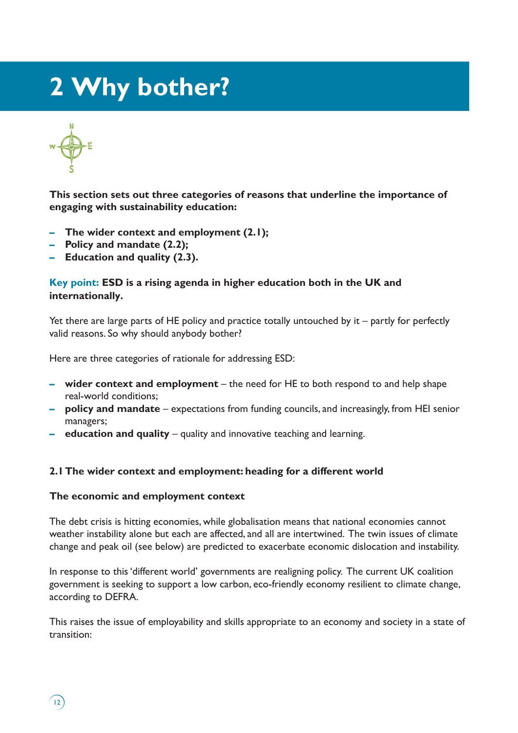# **2 Why bother?**

 $(12)$ 

**This section sets out three categories of reasons that underline the importance of engaging with sustainability education:** 

- **– The wider context and employment (2.1);**
- **– Policy and mandate (2.2);**
- **– Education and quality (2.3).**

# **Key point: ESD is a rising agenda in higher education both in the UK and internationally.**

Yet there are large parts of HE policy and practice totally untouched by it – partly for perfectly valid reasons. So why should anybody bother?

Here are three categories of rationale for addressing ESD:

- **– wider context and employment**  the need for HE to both respond to and help shape real-world conditions;
- **– policy and mandate** expectations from funding councils, and increasingly, from HEI senior managers;
- **– education and quality** quality and innovative teaching and learning.

### **2.1 The wider context and employment: heading for a different world**

### **The economic and employment context**

The debt crisis is hitting economies, while globalisation means that national economies cannot weather instability alone but each are affected, and all are intertwined. The twin issues of climate change and peak oil (see below) are predicted to exacerbate economic dislocation and instability.

In response to this 'different world' governments are realigning policy. The current UK coalition government is seeking to support a low carbon, eco-friendly economy resilient to climate change, according to DEFRA.

This raises the issue of employability and skills appropriate to an economy and society in a state of transition: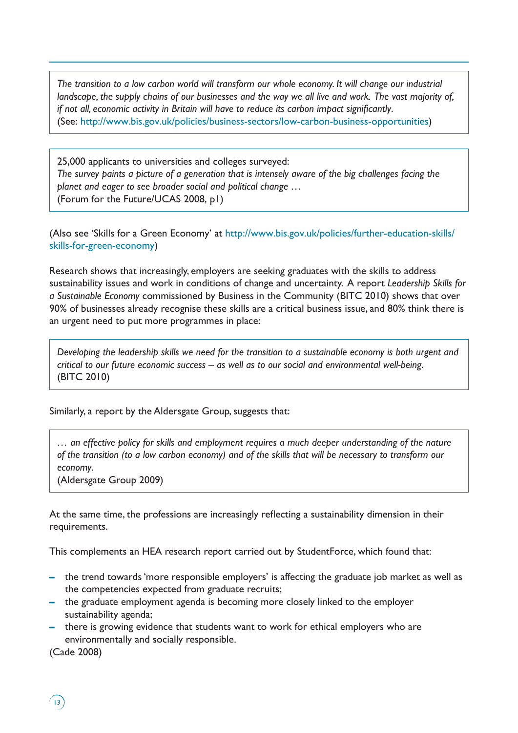*The transition to a low carbon world will transform our whole economy. It will change our industrial landscape, the supply chains of our businesses and the way we all live and work. The vast majority of, if not all, economic activity in Britain will have to reduce its carbon impact significantly*. (See: http://www.bis.gov.uk/policies/business-sectors/low-carbon-business-opportunities)

25,000 applicants to universities and colleges surveyed: *The survey paints a picture of a generation that is intensely aware of the big challenges facing the planet and eager to see broader social and political change …*  (Forum for the Future/UCAS 2008, p1)

(Also see 'Skills for a Green Economy' at http://www.bis.gov.uk/policies/further-education-skills/ skills-for-green-economy)

Research shows that increasingly, employers are seeking graduates with the skills to address sustainability issues and work in conditions of change and uncertainty. A report *Leadership Skills for a Sustainable Economy* commissioned by Business in the Community (BITC 2010) shows that over 90% of businesses already recognise these skills are a critical business issue, and 80% think there is an urgent need to put more programmes in place:

*Developing the leadership skills we need for the transition to a sustainable economy is both urgent and critical to our future economic success – as well as to our social and environmental well-being*. (BITC 2010)

Similarly, a report by the Aldersgate Group, suggests that:

*… an effective policy for skills and employment requires a much deeper understanding of the nature of the transition (to a low carbon economy) and of the skills that will be necessary to transform our economy*.

(Aldersgate Group 2009)

At the same time, the professions are increasingly reflecting a sustainability dimension in their requirements.

This complements an HEA research report carried out by StudentForce, which found that:

- **–** the trend towards 'more responsible employers' is affecting the graduate job market as well as the competencies expected from graduate recruits;
- **–** the graduate employment agenda is becoming more closely linked to the employer sustainability agenda;
- **–** there is growing evidence that students want to work for ethical employers who are environmentally and socially responsible.

(Cade 2008)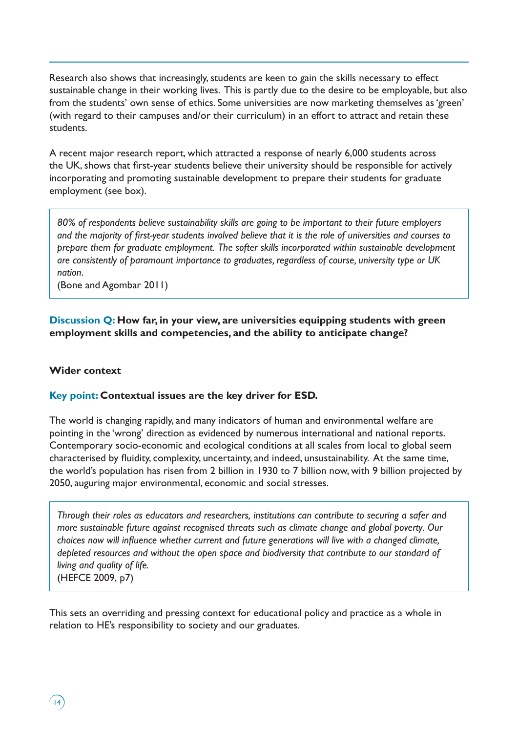Research also shows that increasingly, students are keen to gain the skills necessary to effect sustainable change in their working lives. This is partly due to the desire to be employable, but also from the students' own sense of ethics. Some universities are now marketing themselves as 'green' (with regard to their campuses and/or their curriculum) in an effort to attract and retain these students.

A recent major research report, which attracted a response of nearly 6,000 students across the UK, shows that first-year students believe their university should be responsible for actively incorporating and promoting sustainable development to prepare their students for graduate employment (see box).

*80% of respondents believe sustainability skills are going to be important to their future employers and the majority of first-year students involved believe that it is the role of universities and courses to prepare them for graduate employment. The softer skills incorporated within sustainable development are consistently of paramount importance to graduates, regardless of course, university type or UK nation*.

(Bone and Agombar 2011)

**Discussion Q: How far, in your view, are universities equipping students with green employment skills and competencies, and the ability to anticipate change?**

#### **Wider context**

### **Key point: Contextual issues are the key driver for ESD.**

The world is changing rapidly, and many indicators of human and environmental welfare are pointing in the 'wrong' direction as evidenced by numerous international and national reports. Contemporary socio-economic and ecological conditions at all scales from local to global seem characterised by fluidity, complexity, uncertainty, and indeed, unsustainability. At the same time, the world's population has risen from 2 billion in 1930 to 7 billion now, with 9 billion projected by 2050, auguring major environmental, economic and social stresses.

*Through their roles as educators and researchers, institutions can contribute to securing a safer and more sustainable future against recognised threats such as climate change and global poverty. Our choices now will influence whether current and future generations will live with a changed climate, depleted resources and without the open space and biodiversity that contribute to our standard of living and quality of life.* (HEFCE 2009, p7)

This sets an overriding and pressing context for educational policy and practice as a whole in relation to HE's responsibility to society and our graduates.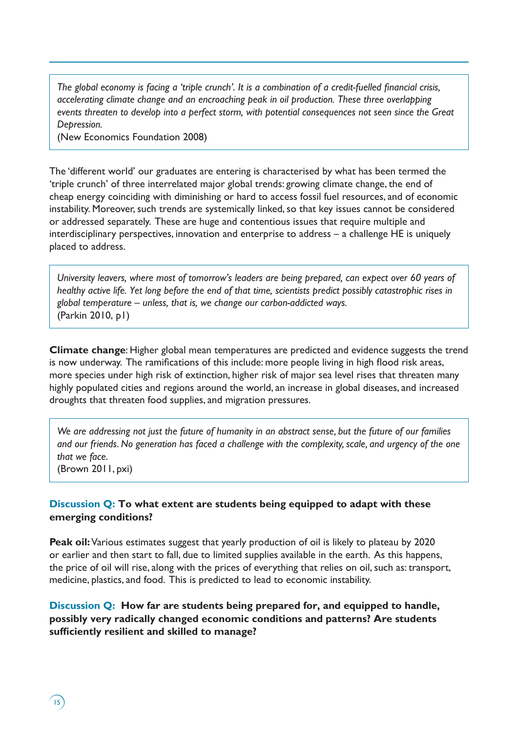*The global economy is facing a 'triple crunch'. It is a combination of a credit-fuelled financial crisis, accelerating climate change and an encroaching peak in oil production. These three overlapping events threaten to develop into a perfect storm, with potential consequences not seen since the Great Depression.*

(New Economics Foundation 2008)

The 'different world' our graduates are entering is characterised by what has been termed the 'triple crunch' of three interrelated major global trends: growing climate change, the end of cheap energy coinciding with diminishing or hard to access fossil fuel resources, and of economic instability. Moreover, such trends are systemically linked, so that key issues cannot be considered or addressed separately. These are huge and contentious issues that require multiple and interdisciplinary perspectives, innovation and enterprise to address – a challenge HE is uniquely placed to address.

*University leavers, where most of tomorrow's leaders are being prepared, can expect over 60 years of healthy active life. Yet long before the end of that time, scientists predict possibly catastrophic rises in global temperature – unless, that is, we change our carbon-addicted ways.* (Parkin 2010, p1)

**Climate change**: Higher global mean temperatures are predicted and evidence suggests the trend is now underway. The ramifications of this include: more people living in high flood risk areas, more species under high risk of extinction, higher risk of major sea level rises that threaten many highly populated cities and regions around the world, an increase in global diseases, and increased droughts that threaten food supplies, and migration pressures.

*We are addressing not just the future of humanity in an abstract sense, but the future of our families and our friends. No generation has faced a challenge with the complexity, scale, and urgency of the one that we face*.

(Brown 2011, pxi)

 $\left(15\right)$ 

# **Discussion Q: To what extent are students being equipped to adapt with these emerging conditions?**

**Peak oil:** Various estimates suggest that yearly production of oil is likely to plateau by 2020 or earlier and then start to fall, due to limited supplies available in the earth. As this happens, the price of oil will rise, along with the prices of everything that relies on oil, such as: transport, medicine, plastics, and food. This is predicted to lead to economic instability.

**Discussion Q: How far are students being prepared for, and equipped to handle, possibly very radically changed economic conditions and patterns? Are students sufficiently resilient and skilled to manage?**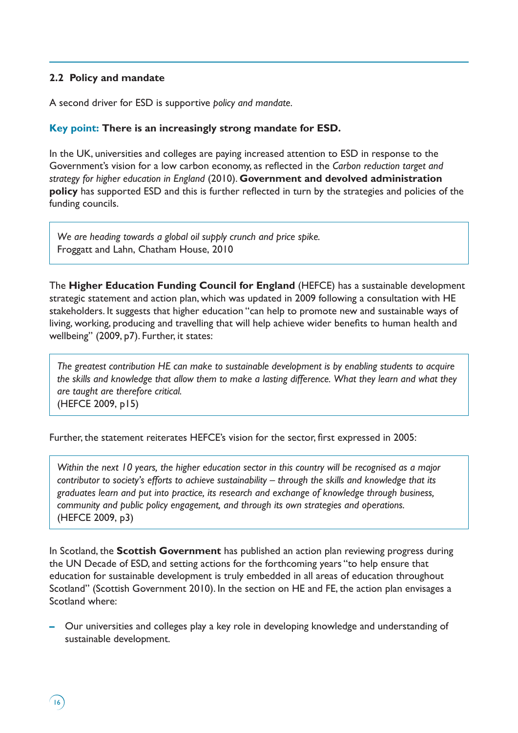# **2.2 Policy and mandate**

 $\sqrt{16}$ 

A second driver for ESD is supportive *policy and mandate.*

# **Key point: There is an increasingly strong mandate for ESD.**

In the UK, universities and colleges are paying increased attention to ESD in response to the Government's vision for a low carbon economy, as reflected in the *Carbon reduction target and strategy for higher education in England* (2010). **Government and devolved administration policy** has supported ESD and this is further reflected in turn by the strategies and policies of the funding councils.

*We are heading towards a global oil supply crunch and price spike.* Froggatt and Lahn, Chatham House, 2010

The **Higher Education Funding Council for England** (HEFCE) has a sustainable development strategic statement and action plan, which was updated in 2009 following a consultation with HE stakeholders. It suggests that higher education "can help to promote new and sustainable ways of living, working, producing and travelling that will help achieve wider benefits to human health and wellbeing" (2009, p7). Further, it states:

*The greatest contribution HE can make to sustainable development is by enabling students to acquire the skills and knowledge that allow them to make a lasting difference. What they learn and what they are taught are therefore critical.*  (HEFCE 2009, p15)

Further, the statement reiterates HEFCE's vision for the sector, first expressed in 2005:

*Within the next 10 years, the higher education sector in this country will be recognised as a major contributor to society's efforts to achieve sustainability – through the skills and knowledge that its graduates learn and put into practice, its research and exchange of knowledge through business, community and public policy engagement, and through its own strategies and operations.*  (HEFCE 2009, p3)

In Scotland, the **Scottish Government** has published an action plan reviewing progress during the UN Decade of ESD, and setting actions for the forthcoming years "to help ensure that education for sustainable development is truly embedded in all areas of education throughout Scotland" (Scottish Government 2010). In the section on HE and FE, the action plan envisages a Scotland where:

**–** Our universities and colleges play a key role in developing knowledge and understanding of sustainable development.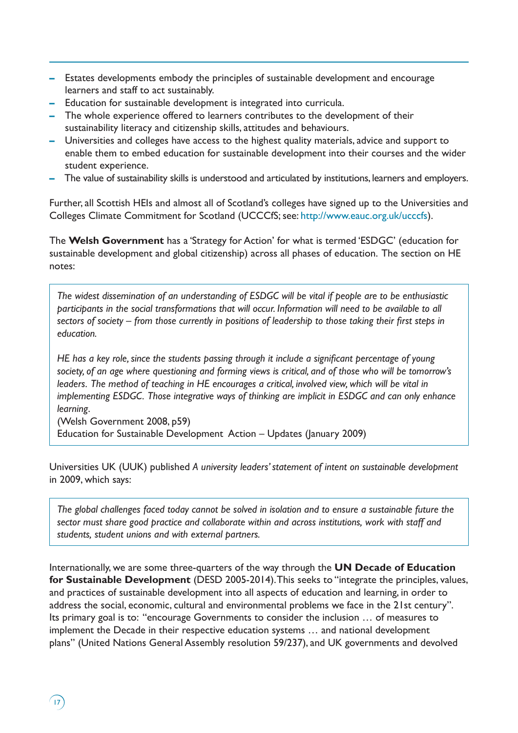- **–** Estates developments embody the principles of sustainable development and encourage learners and staff to act sustainably.
- **–** Education for sustainable development is integrated into curricula.
- **–** The whole experience offered to learners contributes to the development of their sustainability literacy and citizenship skills, attitudes and behaviours.
- **–** Universities and colleges have access to the highest quality materials, advice and support to enable them to embed education for sustainable development into their courses and the wider student experience.
- **–** The value of sustainability skills is understood and articulated by institutions, learners and employers.

Further, all Scottish HEIs and almost all of Scotland's colleges have signed up to the Universities and Colleges Climate Commitment for Scotland (UCCCfS; see: http://www.eauc.org.uk/ucccfs).

The **Welsh Government** has a 'Strategy for Action' for what is termed 'ESDGC' (education for sustainable development and global citizenship) across all phases of education. The section on HE notes:

*The widest dissemination of an understanding of ESDGC will be vital if people are to be enthusiastic participants in the social transformations that will occur. Information will need to be available to all sectors of society – from those currently in positions of leadership to those taking their first steps in education.*

*HE has a key role, since the students passing through it include a significant percentage of young society, of an age where questioning and forming views is critical, and of those who will be tomorrow's leaders. The method of teaching in HE encourages a critical, involved view, which will be vital in implementing ESDGC. Those integrative ways of thinking are implicit in ESDGC and can only enhance learning*.

(Welsh Government 2008, p59) Education for Sustainable Development Action – Updates (January 2009)

 $17$ 

Universities UK (UUK) published *A university leaders' statement of intent on sustainable development* in 2009, which says:

*The global challenges faced today cannot be solved in isolation and to ensure a sustainable future the sector must share good practice and collaborate within and across institutions, work with staff and students, student unions and with external partners.*

Internationally, we are some three-quarters of the way through the **UN Decade of Education for Sustainable Development** (DESD 2005-2014). This seeks to "integrate the principles, values, and practices of sustainable development into all aspects of education and learning, in order to address the social, economic, cultural and environmental problems we face in the 21st century". Its primary goal is to: "encourage Governments to consider the inclusion … of measures to implement the Decade in their respective education systems … and national development plans" (United Nations General Assembly resolution 59/237), and UK governments and devolved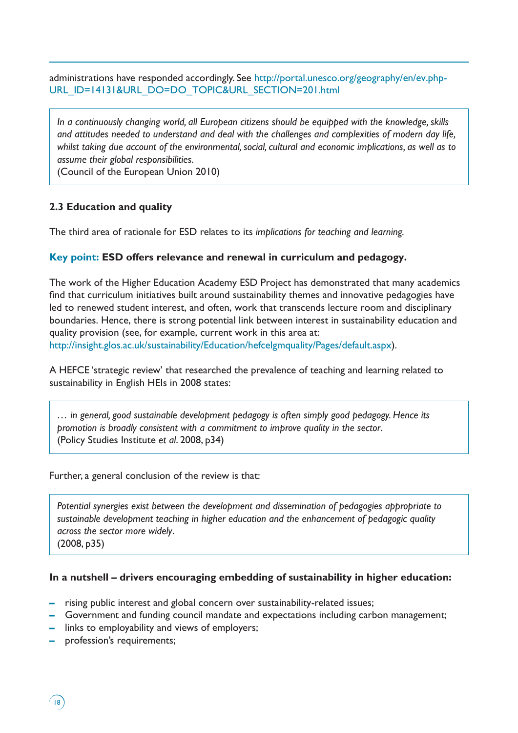administrations have responded accordingly. See http://portal.unesco.org/geography/en/ev.php-URL\_ID=14131&URL\_DO=DO\_TOPIC&URL\_SECTION=201.html

*In a continuously changing world, all European citizens should be equipped with the knowledge, skills and attitudes needed to understand and deal with the challenges and complexities of modern day life, whilst taking due account of the environmental, social, cultural and economic implications, as well as to assume their global responsibilities*.

(Council of the European Union 2010)

# **2.3 Education and quality**

The third area of rationale for ESD relates to its *implications for teaching and learning.* 

# **Key point: ESD offers relevance and renewal in curriculum and pedagogy.**

The work of the Higher Education Academy ESD Project has demonstrated that many academics find that curriculum initiatives built around sustainability themes and innovative pedagogies have led to renewed student interest, and often, work that transcends lecture room and disciplinary boundaries. Hence, there is strong potential link between interest in sustainability education and quality provision (see, for example, current work in this area at: http://insight.glos.ac.uk/sustainability/Education/hefcelgmquality/Pages/default.aspx).

A HEFCE 'strategic review' that researched the prevalence of teaching and learning related to sustainability in English HEIs in 2008 states:

*… in general, good sustainable development pedagogy is often simply good pedagogy. Hence its promotion is broadly consistent with a commitment to improve quality in the sector*. (Policy Studies Institute *et al*. 2008, p34)

Further, a general conclusion of the review is that:

*Potential synergies exist between the development and dissemination of pedagogies appropriate to sustainable development teaching in higher education and the enhancement of pedagogic quality across the sector more widely*. (2008, p35)

# **In a nutshell – drivers encouraging embedding of sustainability in higher education:**

- **–** rising public interest and global concern over sustainability-related issues;
- **–** Government and funding council mandate and expectations including carbon management;
- **–** links to employability and views of employers;
- **–** profession's requirements;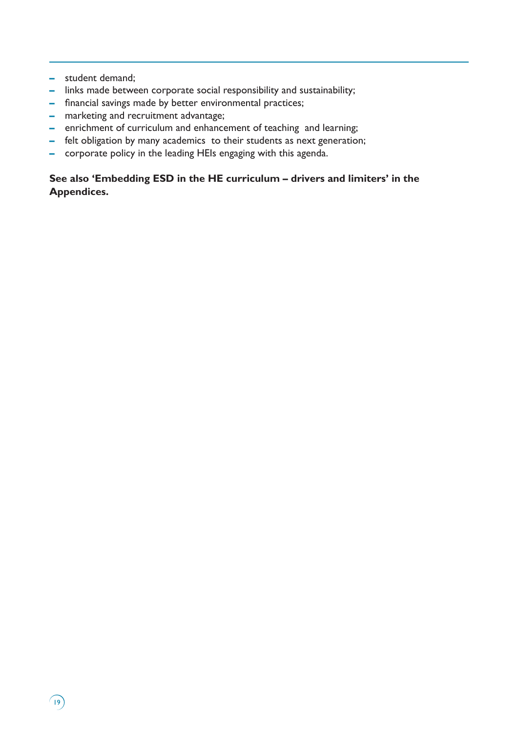**–** student demand;

 $\sqrt{19}$ 

- **–** links made between corporate social responsibility and sustainability;
- **–** financial savings made by better environmental practices;
- **–** marketing and recruitment advantage;
- **–** enrichment of curriculum and enhancement of teaching and learning;
- **–** felt obligation by many academics to their students as next generation;
- **–** corporate policy in the leading HEIs engaging with this agenda.

# **See also 'Embedding ESD in the HE curriculum – drivers and limiters' in the Appendices.**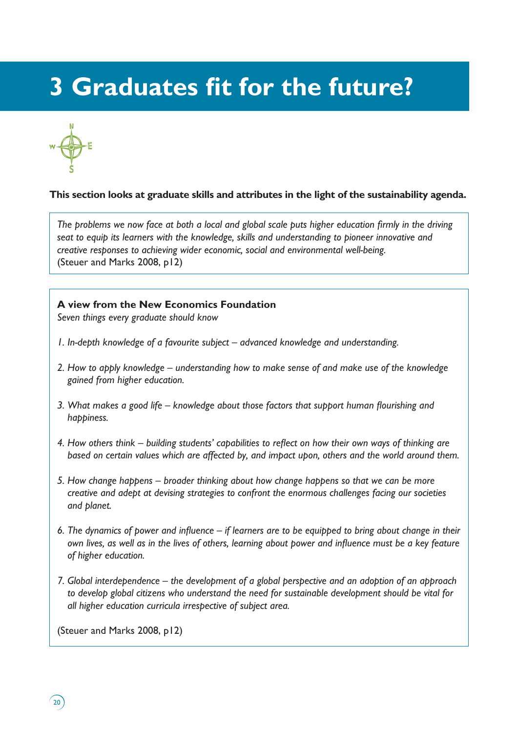# **3 Graduates fit for the future?**



# **This section looks at graduate skills and attributes in the light of the sustainability agenda.**

*The problems we now face at both a local and global scale puts higher education firmly in the driving seat to equip its learners with the knowledge, skills and understanding to pioneer innovative and creative responses to achieving wider economic, social and environmental well-being.* (Steuer and Marks 2008, p12)

### **A view from the New Economics Foundation**

*Seven things every graduate should know*

- *1. In-depth knowledge of a favourite subject advanced knowledge and understanding.*
- *2. How to apply knowledge understanding how to make sense of and make use of the knowledge gained from higher education.*
- *3. What makes a good life knowledge about those factors that support human flourishing and happiness.*
- *4. How others think building students' capabilities to reflect on how their own ways of thinking are based on certain values which are affected by, and impact upon, others and the world around them.*
- *5. How change happens broader thinking about how change happens so that we can be more creative and adept at devising strategies to confront the enormous challenges facing our societies and planet.*
- *6. The dynamics of power and influence if learners are to be equipped to bring about change in their own lives, as well as in the lives of others, learning about power and influence must be a key feature of higher education.*
- *7. Global interdependence the development of a global perspective and an adoption of an approach to develop global citizens who understand the need for sustainable development should be vital for all higher education curricula irrespective of subject area.*

(Steuer and Marks 2008, p12)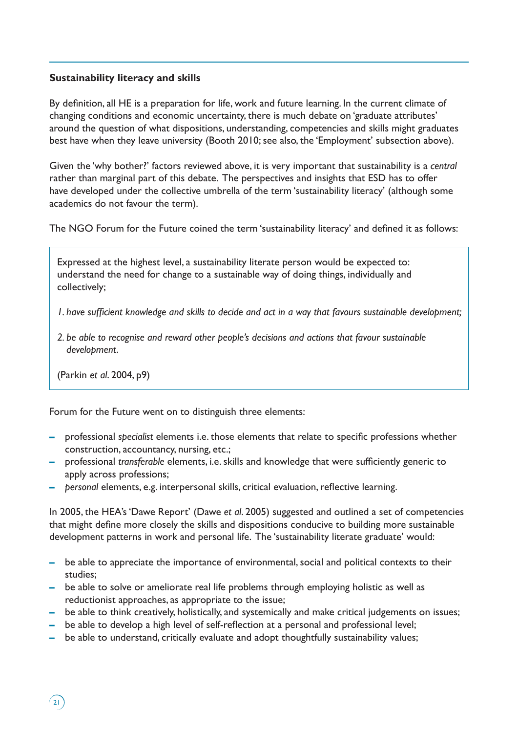# **Sustainability literacy and skills**

By definition, all HE is a preparation for life, work and future learning. In the current climate of changing conditions and economic uncertainty, there is much debate on 'graduate attributes' around the question of what dispositions, understanding, competencies and skills might graduates best have when they leave university (Booth 2010; see also, the 'Employment' subsection above).

Given the 'why bother?' factors reviewed above, it is very important that sustainability is a *central* rather than marginal part of this debate. The perspectives and insights that ESD has to offer have developed under the collective umbrella of the term 'sustainability literacy' (although some academics do not favour the term).

The NGO Forum for the Future coined the term 'sustainability literacy' and defined it as follows:

Expressed at the highest level, a sustainability literate person would be expected to: understand the need for change to a sustainable way of doing things, individually and collectively;

*1. have sufficient knowledge and skills to decide and act in a way that favours sustainable development;*

*2. be able to recognise and reward other people's decisions and actions that favour sustainable development*.

(Parkin *et al*. 2004, p9)

Forum for the Future went on to distinguish three elements:

- **–** professional *specialist* elements i.e. those elements that relate to specific professions whether construction, accountancy, nursing, etc.;
- **–** professional *transferable* elements, i.e. skills and knowledge that were sufficiently generic to apply across professions;
- **–** *personal* elements, e.g. interpersonal skills, critical evaluation, reflective learning.

In 2005, the HEA's 'Dawe Report' (Dawe *et al*. 2005) suggested and outlined a set of competencies that might define more closely the skills and dispositions conducive to building more sustainable development patterns in work and personal life. The 'sustainability literate graduate' would:

- **–** be able to appreciate the importance of environmental, social and political contexts to their studies;
- **–** be able to solve or ameliorate real life problems through employing holistic as well as reductionist approaches, as appropriate to the issue;
- **–** be able to think creatively, holistically, and systemically and make critical judgements on issues;
- **–** be able to develop a high level of self-reflection at a personal and professional level;
- **–** be able to understand, critically evaluate and adopt thoughtfully sustainability values;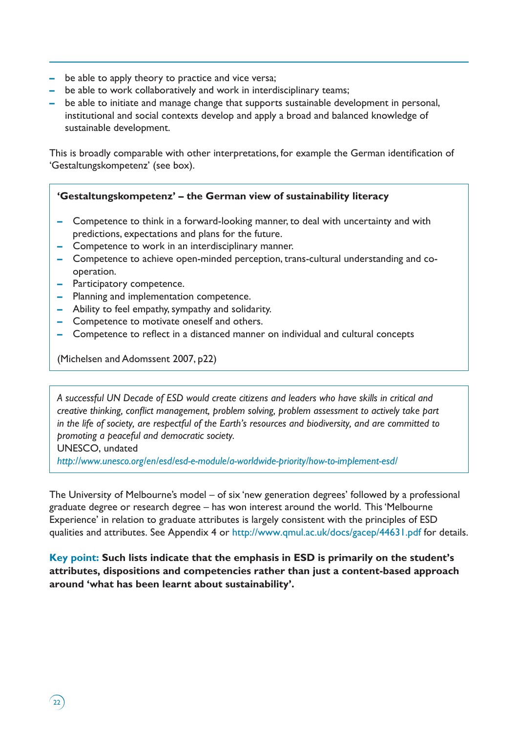- **–** be able to apply theory to practice and vice versa;
- **–** be able to work collaboratively and work in interdisciplinary teams;
- **–** be able to initiate and manage change that supports sustainable development in personal, institutional and social contexts develop and apply a broad and balanced knowledge of sustainable development.

This is broadly comparable with other interpretations, for example the German identification of 'Gestaltungskompetenz' (see box).

# **'Gestaltungskompetenz' – the German view of sustainability literacy**

- **–** Competence to think in a forward-looking manner, to deal with uncertainty and with predictions, expectations and plans for the future.
- **–** Competence to work in an interdisciplinary manner.
- **–** Competence to achieve open-minded perception, trans-cultural understanding and cooperation.
- **–** Participatory competence.
- **–** Planning and implementation competence.
- **–** Ability to feel empathy, sympathy and solidarity.
- **–** Competence to motivate oneself and others.
- **–** Competence to reflect in a distanced manner on individual and cultural concepts

(Michelsen and Adomssent 2007, p22)

*A successful UN Decade of ESD would create citizens and leaders who have skills in critical and creative thinking, conflict management, problem solving, problem assessment to actively take part in the life of society, are respectful of the Earth's resources and biodiversity, and are committed to promoting a peaceful and democratic society.*

UNESCO, undated

*http://www.unesco.org/en/esd/esd-e-module/a-worldwide-priority/how-to-implement-esd/*

The University of Melbourne's model – of six 'new generation degrees' followed by a professional graduate degree or research degree – has won interest around the world. This 'Melbourne Experience' in relation to graduate attributes is largely consistent with the principles of ESD qualities and attributes. See Appendix 4 or http://www.qmul.ac.uk/docs/gacep/44631.pdf for details.

**Key point: Such lists indicate that the emphasis in ESD is primarily on the student's attributes, dispositions and competencies rather than just a content-based approach around 'what has been learnt about sustainability'.**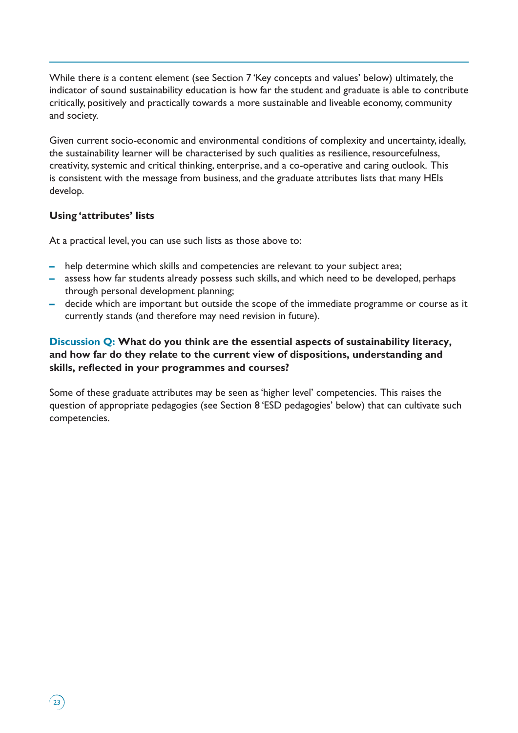While there *is* a content element (see Section 7 'Key concepts and values' below) ultimately, the indicator of sound sustainability education is how far the student and graduate is able to contribute critically, positively and practically towards a more sustainable and liveable economy, community and society.

Given current socio-economic and environmental conditions of complexity and uncertainty, ideally, the sustainability learner will be characterised by such qualities as resilience, resourcefulness, creativity, systemic and critical thinking, enterprise, and a co-operative and caring outlook. This is consistent with the message from business, and the graduate attributes lists that many HEIs develop.

# **Using 'attributes' lists**

At a practical level, you can use such lists as those above to:

- **–** help determine which skills and competencies are relevant to your subject area;
- **–** assess how far students already possess such skills, and which need to be developed, perhaps through personal development planning;
- **–** decide which are important but outside the scope of the immediate programme or course as it currently stands (and therefore may need revision in future).

# **Discussion Q: What do you think are the essential aspects of sustainability literacy, and how far do they relate to the current view of dispositions, understanding and skills, reflected in your programmes and courses?**

Some of these graduate attributes may be seen as 'higher level' competencies. This raises the question of appropriate pedagogies (see Section 8 'ESD pedagogies' below) that can cultivate such competencies.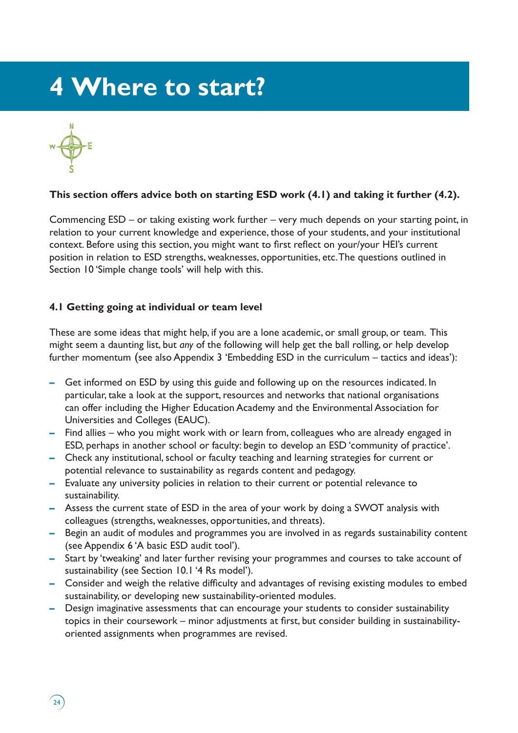# **4 Where to start?**



 $\left(24\right)$ 

# **This section offers advice both on starting ESD work (4.1) and taking it further (4.2).**

Commencing ESD – or taking existing work further – very much depends on your starting point, in relation to your current knowledge and experience, those of your students, and your institutional context. Before using this section, you might want to first reflect on your/your HEI's current position in relation to ESD strengths, weaknesses, opportunities, etc. The questions outlined in Section 10 'Simple change tools' will help with this.

# **4.1 Getting going at individual or team level**

These are some ideas that might help, if you are a lone academic, or small group, or team. This might seem a daunting list, but *any* of the following will help get the ball rolling, or help develop further momentum (see also Appendix 3 'Embedding ESD in the curriculum – tactics and ideas'):

- **–** Get informed on ESD by using this guide and following up on the resources indicated. In particular, take a look at the support, resources and networks that national organisations can offer including the Higher Education Academy and the Environmental Association for Universities and Colleges (EAUC).
- **–** Find allies who you might work with or learn from, colleagues who are already engaged in ESD, perhaps in another school or faculty: begin to develop an ESD 'community of practice'.
- **–** Check any institutional, school or faculty teaching and learning strategies for current or potential relevance to sustainability as regards content and pedagogy.
- **–** Evaluate any university policies in relation to their current or potential relevance to sustainability.
- **–** Assess the current state of ESD in the area of your work by doing a SWOT analysis with colleagues (strengths, weaknesses, opportunities, and threats).
- **–** Begin an audit of modules and programmes you are involved in as regards sustainability content (see Appendix 6 'A basic ESD audit tool').
- **–** Start by 'tweaking' and later further revising your programmes and courses to take account of sustainability (see Section 10.1 '4 Rs model').
- **–** Consider and weigh the relative difficulty and advantages of revising existing modules to embed sustainability, or developing new sustainability-oriented modules.
- **–** Design imaginative assessments that can encourage your students to consider sustainability topics in their coursework – minor adjustments at first, but consider building in sustainabilityoriented assignments when programmes are revised.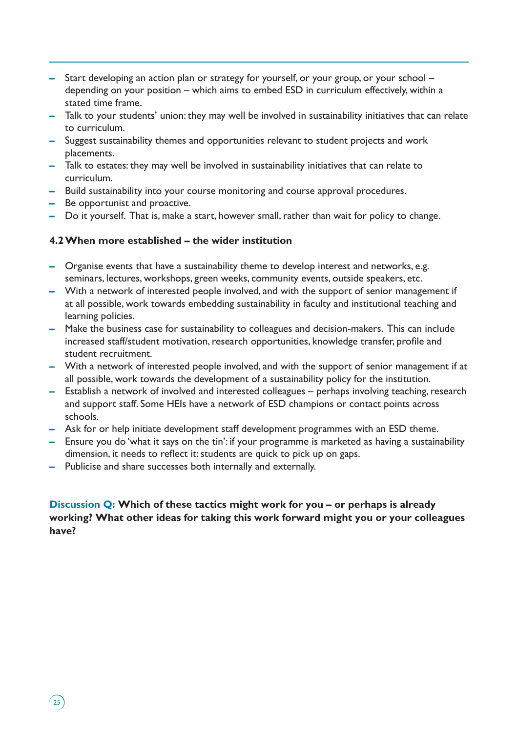- **–** Start developing an action plan or strategy for yourself, or your group, or your school depending on your position – which aims to embed ESD in curriculum effectively, within a stated time frame.
- **–** Talk to your students' union: they may well be involved in sustainability initiatives that can relate to curriculum.
- **–** Suggest sustainability themes and opportunities relevant to student projects and work placements.
- **–** Talk to estates: they may well be involved in sustainability initiatives that can relate to curriculum.
- **–** Build sustainability into your course monitoring and course approval procedures.
- **–** Be opportunist and proactive.

 $\binom{25}{ }$ 

**–** Do it yourself. That is, make a start, however small, rather than wait for policy to change.

# **4.2 When more established – the wider institution**

- **–** Organise events that have a sustainability theme to develop interest and networks, e.g. seminars, lectures, workshops, green weeks, community events, outside speakers, etc.
- **–** With a network of interested people involved, and with the support of senior management if at all possible, work towards embedding sustainability in faculty and institutional teaching and learning policies.
- **–** Make the business case for sustainability to colleagues and decision-makers. This can include increased staff/student motivation, research opportunities, knowledge transfer, profile and student recruitment.
- **–** With a network of interested people involved, and with the support of senior management if at all possible, work towards the development of a sustainability policy for the institution.
- **–** Establish a network of involved and interested colleagues perhaps involving teaching, research and support staff. Some HEIs have a network of ESD champions or contact points across schools.
- **–** Ask for or help initiate development staff development programmes with an ESD theme.
- **–** Ensure you do 'what it says on the tin': if your programme is marketed as having a sustainability dimension, it needs to reflect it: students are quick to pick up on gaps.
- **–** Publicise and share successes both internally and externally.

**Discussion Q: Which of these tactics might work for you – or perhaps is already working? What other ideas for taking this work forward might you or your colleagues have?**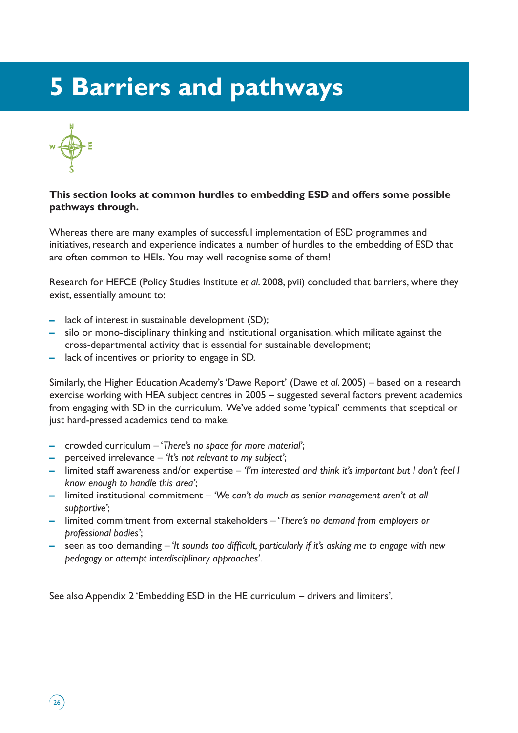# **5 Barriers and pathways**



# **This section looks at common hurdles to embedding ESD and offers some possible pathways through.**

Whereas there are many examples of successful implementation of ESD programmes and initiatives, research and experience indicates a number of hurdles to the embedding of ESD that are often common to HEIs. You may well recognise some of them!

Research for HEFCE (Policy Studies Institute *et al*. 2008, pvii) concluded that barriers, where they exist, essentially amount to:

- **–** lack of interest in sustainable development (SD);
- **–** silo or mono-disciplinary thinking and institutional organisation, which militate against the cross-departmental activity that is essential for sustainable development;
- **–** lack of incentives or priority to engage in SD.

Similarly, the Higher Education Academy's 'Dawe Report' (Dawe *et al*. 2005) – based on a research exercise working with HEA subject centres in 2005 – suggested several factors prevent academics from engaging with SD in the curriculum. We've added some 'typical' comments that sceptical or just hard-pressed academics tend to make:

- **–** crowded curriculum '*There's no space for more material'*;
- **–** perceived irrelevance *'It's not relevant to my subject'*;
- **–** limited staff awareness and/or expertise *'I'm interested and think it's important but I don't feel I know enough to handle this area'*;
- **–** limited institutional commitment *'We can't do much as senior management aren't at all supportive'*;
- **–** limited commitment from external stakeholders '*There's no demand from employers or professional bodies'*;
- **–** seen as too demanding  *'It sounds too difficult, particularly if it's asking me to engage with new pedagogy or attempt interdisciplinary approaches'*.

See also Appendix 2 'Embedding ESD in the HE curriculum – drivers and limiters'*.*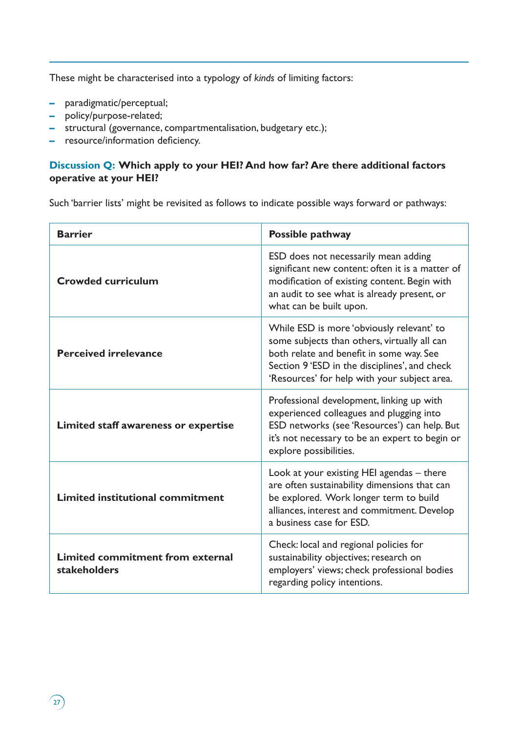These might be characterised into a typology of *kinds* of limiting factors:

- **–** paradigmatic/perceptual;
- **–** policy/purpose-related;
- **–** structural (governance, compartmentalisation, budgetary etc.);
- **–** resource/information deficiency.

# **Discussion Q: Which apply to your HEI? And how far? Are there additional factors operative at your HEI?**

Such 'barrier lists' might be revisited as follows to indicate possible ways forward or pathways:

| <b>Barrier</b>                                          | Possible pathway                                                                                                                                                                                                                       |
|---------------------------------------------------------|----------------------------------------------------------------------------------------------------------------------------------------------------------------------------------------------------------------------------------------|
| <b>Crowded curriculum</b>                               | ESD does not necessarily mean adding<br>significant new content: often it is a matter of<br>modification of existing content. Begin with<br>an audit to see what is already present, or<br>what can be built upon.                     |
| <b>Perceived irrelevance</b>                            | While ESD is more 'obviously relevant' to<br>some subjects than others, virtually all can<br>both relate and benefit in some way. See<br>Section 9 'ESD in the disciplines', and check<br>'Resources' for help with your subject area. |
| Limited staff awareness or expertise                    | Professional development, linking up with<br>experienced colleagues and plugging into<br>ESD networks (see 'Resources') can help. But<br>it's not necessary to be an expert to begin or<br>explore possibilities.                      |
| Limited institutional commitment                        | Look at your existing HEI agendas - there<br>are often sustainability dimensions that can<br>be explored. Work longer term to build<br>alliances, interest and commitment. Develop<br>a business case for ESD.                         |
| Limited commitment from external<br><b>stakeholders</b> | Check: local and regional policies for<br>sustainability objectives; research on<br>employers' views; check professional bodies<br>regarding policy intentions.                                                                        |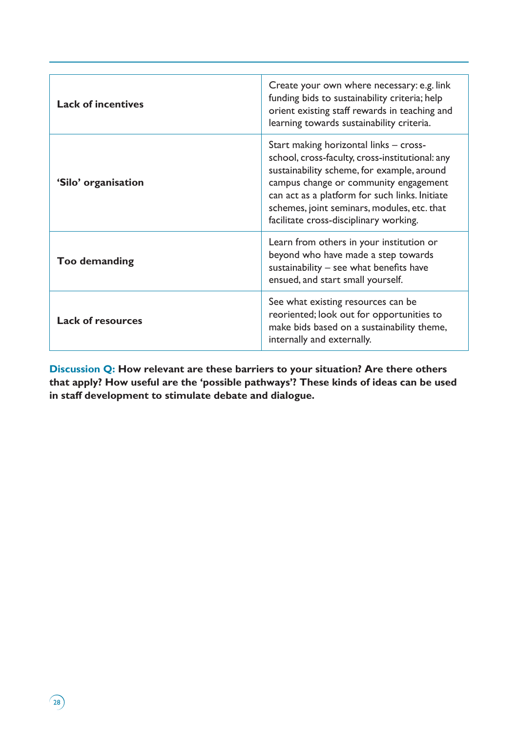| <b>Lack of incentives</b> | Create your own where necessary: e.g. link<br>funding bids to sustainability criteria; help<br>orient existing staff rewards in teaching and<br>learning towards sustainability criteria.                                                                                                                                   |
|---------------------------|-----------------------------------------------------------------------------------------------------------------------------------------------------------------------------------------------------------------------------------------------------------------------------------------------------------------------------|
| 'Silo' organisation       | Start making horizontal links – cross-<br>school, cross-faculty, cross-institutional: any<br>sustainability scheme, for example, around<br>campus change or community engagement<br>can act as a platform for such links. Initiate<br>schemes, joint seminars, modules, etc. that<br>facilitate cross-disciplinary working. |
| Too demanding             | Learn from others in your institution or<br>beyond who have made a step towards<br>sustainability - see what benefits have<br>ensued, and start small yourself.                                                                                                                                                             |
| <b>Lack of resources</b>  | See what existing resources can be<br>reoriented; look out for opportunities to<br>make bids based on a sustainability theme,<br>internally and externally.                                                                                                                                                                 |

**Discussion Q: How relevant are these barriers to your situation? Are there others that apply? How useful are the 'possible pathways'? These kinds of ideas can be used in staff development to stimulate debate and dialogue.** 

 $\Omega$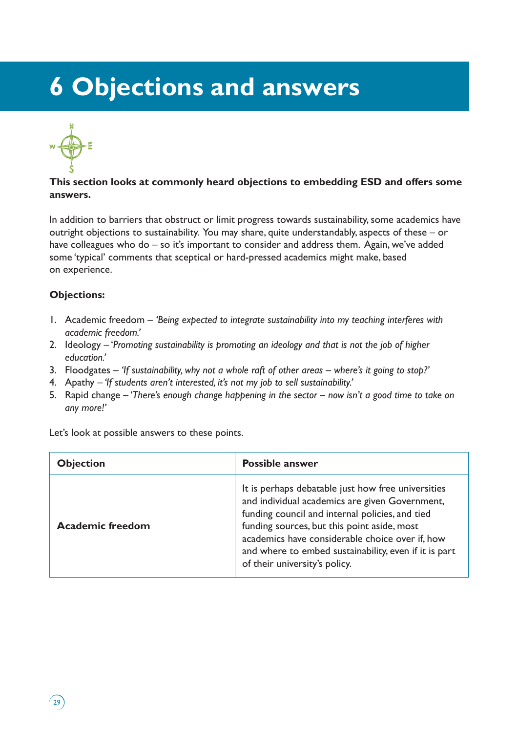# **6 Objections and answers**



## **This section looks at commonly heard objections to embedding ESD and offers some answers.**

In addition to barriers that obstruct or limit progress towards sustainability, some academics have outright objections to sustainability. You may share, quite understandably, aspects of these – or have colleagues who do – so it's important to consider and address them. Again, we've added some 'typical' comments that sceptical or hard-pressed academics might make, based on experience.

# **Objections:**

- 1. Academic freedom *'Being expected to integrate sustainability into my teaching interferes with academic freedom.'*
- 2. Ideology '*Promoting sustainability is promoting an ideology and that is not the job of higher education.'*
- 3. Floodgates *'If sustainability, why not a whole raft of other areas where's it going to stop?'*
- 4. Apathy  *'If students aren't interested, it's not my job to sell sustainability.'*
- 5. Rapid change '*There's enough change happening in the sector now isn't a good time to take on any more!'*

Let's look at possible answers to these points.

| <b>Objection</b>        | <b>Possible answer</b>                                                                                                                                                                                                                                                                                                                              |
|-------------------------|-----------------------------------------------------------------------------------------------------------------------------------------------------------------------------------------------------------------------------------------------------------------------------------------------------------------------------------------------------|
| <b>Academic freedom</b> | It is perhaps debatable just how free universities<br>and individual academics are given Government,<br>funding council and internal policies, and tied<br>funding sources, but this point aside, most<br>academics have considerable choice over if, how<br>and where to embed sustainability, even if it is part<br>of their university's policy. |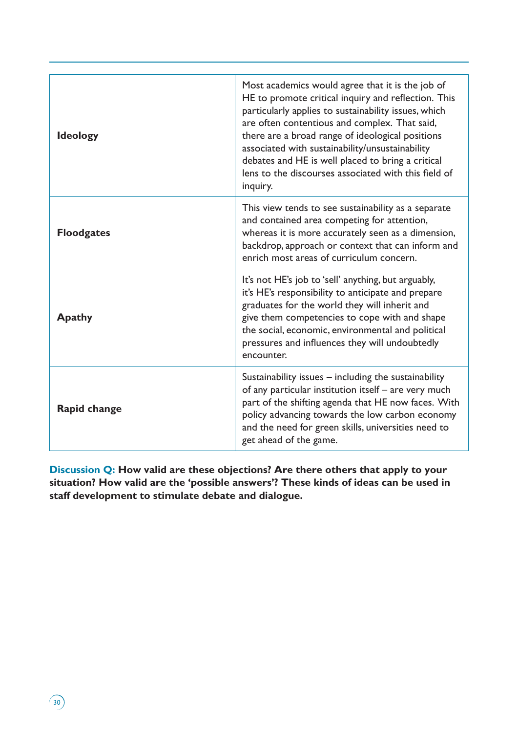| <b>Ideology</b>   | Most academics would agree that it is the job of<br>HE to promote critical inquiry and reflection. This<br>particularly applies to sustainability issues, which<br>are often contentious and complex. That said,<br>there are a broad range of ideological positions<br>associated with sustainability/unsustainability<br>debates and HE is well placed to bring a critical<br>lens to the discourses associated with this field of<br>inquiry. |
|-------------------|--------------------------------------------------------------------------------------------------------------------------------------------------------------------------------------------------------------------------------------------------------------------------------------------------------------------------------------------------------------------------------------------------------------------------------------------------|
| <b>Floodgates</b> | This view tends to see sustainability as a separate<br>and contained area competing for attention,<br>whereas it is more accurately seen as a dimension,<br>backdrop, approach or context that can inform and<br>enrich most areas of curriculum concern.                                                                                                                                                                                        |
| <b>Apathy</b>     | It's not HE's job to 'sell' anything, but arguably,<br>it's HE's responsibility to anticipate and prepare<br>graduates for the world they will inherit and<br>give them competencies to cope with and shape<br>the social, economic, environmental and political<br>pressures and influences they will undoubtedly<br>encounter.                                                                                                                 |
| Rapid change      | Sustainability issues - including the sustainability<br>of any particular institution itself - are very much<br>part of the shifting agenda that HE now faces. With<br>policy advancing towards the low carbon economy<br>and the need for green skills, universities need to<br>get ahead of the game.                                                                                                                                          |

**Discussion Q: How valid are these objections? Are there others that apply to your situation? How valid are the 'possible answers'? These kinds of ideas can be used in staff development to stimulate debate and dialogue.** 

 $\sqrt{30}$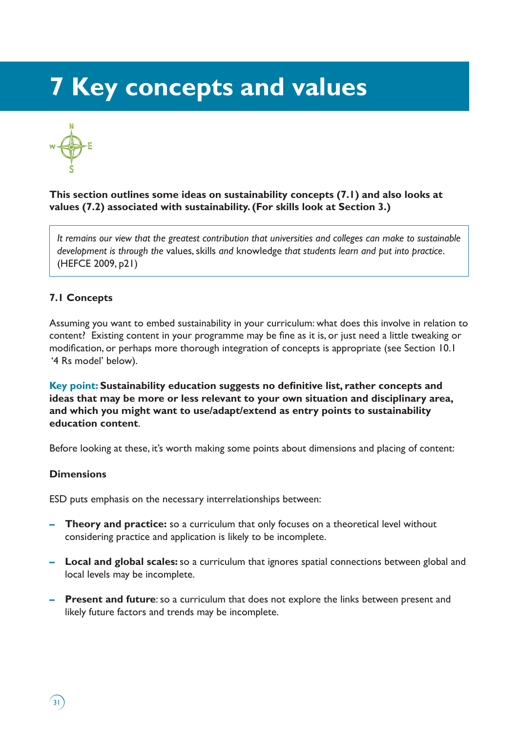# **7 Key concepts and values**



**This section outlines some ideas on sustainability concepts (7.1) and also looks at values (7.2) associated with sustainability. (For skills look at Section 3.)**

*It remains our view that the greatest contribution that universities and colleges can make to sustainable development is through the* values, skills *and* knowledge *that students learn and put into practice*. (HEFCE 2009, p21)

# **7.1 Concepts**

Assuming you want to embed sustainability in your curriculum: what does this involve in relation to content? Existing content in your programme may be fine as it is, or just need a little tweaking or modification, or perhaps more thorough integration of concepts is appropriate (see Section 10.1 '4 Rs model' below).

**Key point: Sustainability education suggests no definitive list, rather concepts and ideas that may be more or less relevant to your own situation and disciplinary area, and which you might want to use/adapt/extend as entry points to sustainability education content**.

Before looking at these, it's worth making some points about dimensions and placing of content:

### **Dimensions**

ESD puts emphasis on the necessary interrelationships between:

- **– Theory and practice:** so a curriculum that only focuses on a theoretical level without considering practice and application is likely to be incomplete.
- **– Local and global scales:** so a curriculum that ignores spatial connections between global and local levels may be incomplete.
- **– Present and future**: so a curriculum that does not explore the links between present and likely future factors and trends may be incomplete.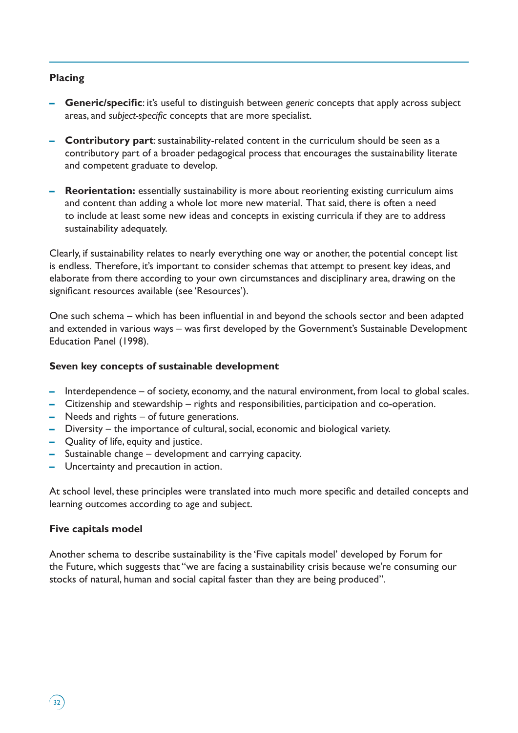### **Placing**

- **– Generic/specific**: it's useful to distinguish between *generic* concepts that apply across subject areas, and *subject-specific* concepts that are more specialist.
- **– Contributory part**: sustainability-related content in the curriculum should be seen as a contributory part of a broader pedagogical process that encourages the sustainability literate and competent graduate to develop.
- **– Reorientation:** essentially sustainability is more about reorienting existing curriculum aims and content than adding a whole lot more new material. That said, there is often a need to include at least some new ideas and concepts in existing curricula if they are to address sustainability adequately.

Clearly, if sustainability relates to nearly everything one way or another, the potential concept list is endless. Therefore, it's important to consider schemas that attempt to present key ideas, and elaborate from there according to your own circumstances and disciplinary area, drawing on the significant resources available (see 'Resources').

One such schema – which has been influential in and beyond the schools sector and been adapted and extended in various ways – was first developed by the Government's Sustainable Development Education Panel (1998).

### **Seven key concepts of sustainable development**

- **–** Interdependence of society, economy, and the natural environment, from local to global scales.
- **–** Citizenship and stewardship rights and responsibilities, participation and co-operation.
- **–** Needs and rights of future generations.
- **–** Diversity the importance of cultural, social, economic and biological variety.
- **–** Quality of life, equity and justice.
- **–** Sustainable change development and carrying capacity.
- **–** Uncertainty and precaution in action.

At school level, these principles were translated into much more specific and detailed concepts and learning outcomes according to age and subject.

#### **Five capitals model**

Another schema to describe sustainability is the 'Five capitals model' developed by Forum for the Future, which suggests that "we are facing a sustainability crisis because we're consuming our stocks of natural, human and social capital faster than they are being produced".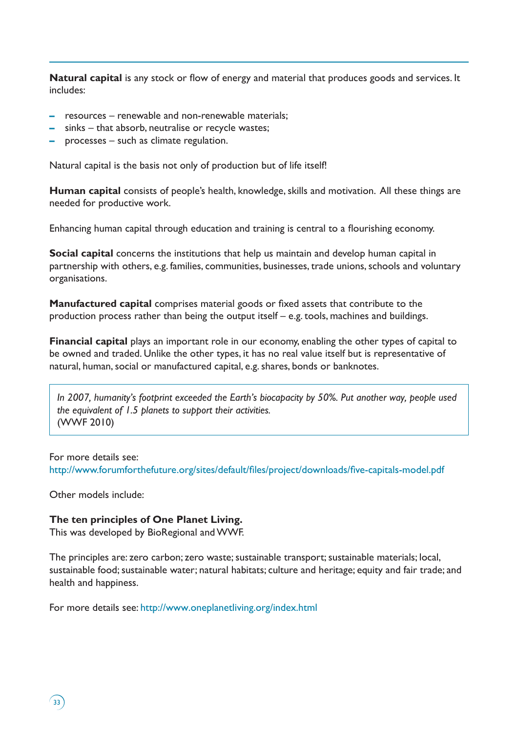**Natural capital** is any stock or flow of energy and material that produces goods and services. It includes:

- **–** resources renewable and non-renewable materials;
- **–** sinks that absorb, neutralise or recycle wastes;
- **–** processes such as climate regulation.

Natural capital is the basis not only of production but of life itself!

**Human capital** consists of people's health, knowledge, skills and motivation. All these things are needed for productive work.

Enhancing human capital through education and training is central to a flourishing economy.

**Social capital** concerns the institutions that help us maintain and develop human capital in partnership with others, e.g. families, communities, businesses, trade unions, schools and voluntary organisations.

**Manufactured capital** comprises material goods or fixed assets that contribute to the production process rather than being the output itself – e.g. tools, machines and buildings.

**Financial capital** plays an important role in our economy, enabling the other types of capital to be owned and traded. Unlike the other types, it has no real value itself but is representative of natural, human, social or manufactured capital, e.g. shares, bonds or banknotes.

*In 2007, humanity's footprint exceeded the Earth's biocapacity by 50%. Put another way, people used the equivalent of 1.5 planets to support their activities.* (WWF 2010)

For more details see: http://www.forumforthefuture.org/sites/default/files/project/downloads/five-capitals-model.pdf

Other models include:

### **The ten principles of One Planet Living.**

This was developed by BioRegional and WWF.

The principles are: zero carbon; zero waste; sustainable transport; sustainable materials; local, sustainable food; sustainable water; natural habitats; culture and heritage; equity and fair trade; and health and happiness.

For more details see: http://www.oneplanetliving.org/index.html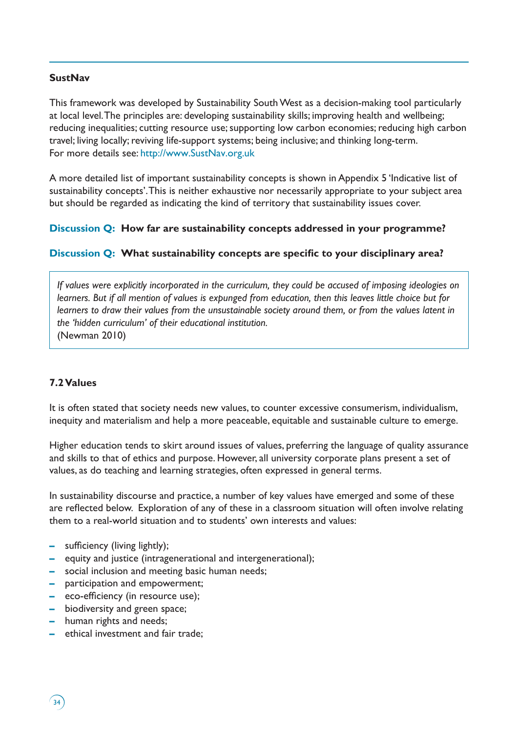# **SustNav**

This framework was developed by Sustainability South West as a decision-making tool particularly at local level. The principles are: developing sustainability skills; improving health and wellbeing; reducing inequalities; cutting resource use; supporting low carbon economies; reducing high carbon travel; living locally; reviving life-support systems; being inclusive; and thinking long-term. For more details see: http://www.SustNav.org.uk

A more detailed list of important sustainability concepts is shown in Appendix 5 'Indicative list of sustainability concepts'. This is neither exhaustive nor necessarily appropriate to your subject area but should be regarded as indicating the kind of territory that sustainability issues cover.

### **Discussion Q: How far are sustainability concepts addressed in your programme?**

# **Discussion Q: What sustainability concepts are specific to your disciplinary area?**

*If values were explicitly incorporated in the curriculum, they could be accused of imposing ideologies on learners. But if all mention of values is expunged from education, then this leaves little choice but for learners to draw their values from the unsustainable society around them, or from the values latent in the 'hidden curriculum' of their educational institution.* (Newman 2010)

# **7.2 Values**

It is often stated that society needs new values, to counter excessive consumerism, individualism, inequity and materialism and help a more peaceable, equitable and sustainable culture to emerge.

Higher education tends to skirt around issues of values, preferring the language of quality assurance and skills to that of ethics and purpose. However, all university corporate plans present a set of values, as do teaching and learning strategies, often expressed in general terms.

In sustainability discourse and practice, a number of key values have emerged and some of these are reflected below. Exploration of any of these in a classroom situation will often involve relating them to a real-world situation and to students' own interests and values:

- **–** sufficiency (living lightly);
- **–** equity and justice (intragenerational and intergenerational);
- **–** social inclusion and meeting basic human needs;
- **–** participation and empowerment;
- **–** eco-efficiency (in resource use);
- **–** biodiversity and green space;
- **–** human rights and needs;
- **–** ethical investment and fair trade;

 $\left(34\right)$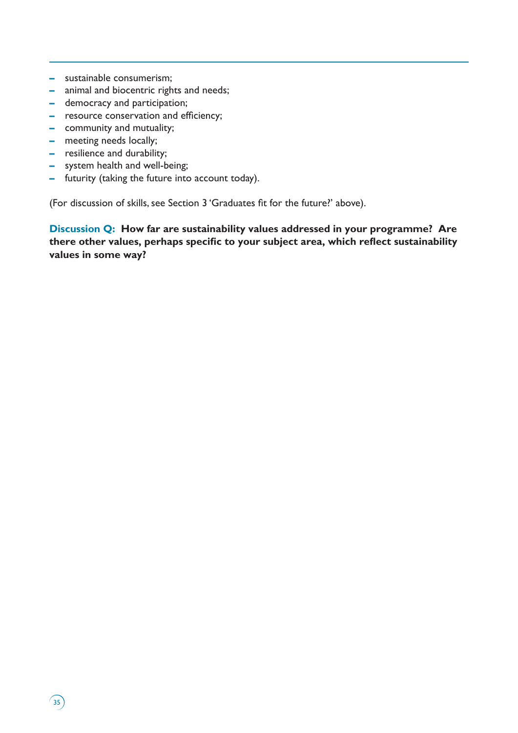- **–** sustainable consumerism;
- **–** animal and biocentric rights and needs;
- **–** democracy and participation;
- **–** resource conservation and efficiency;
- **–** community and mutuality;
- **–** meeting needs locally;

 $\binom{35}{ }$ 

- **–** resilience and durability;
- **–** system health and well-being;
- **–** futurity (taking the future into account today).

(For discussion of skills, see Section 3 'Graduates fit for the future?' above).

**Discussion Q: How far are sustainability values addressed in your programme? Are there other values, perhaps specific to your subject area, which reflect sustainability values in some way?**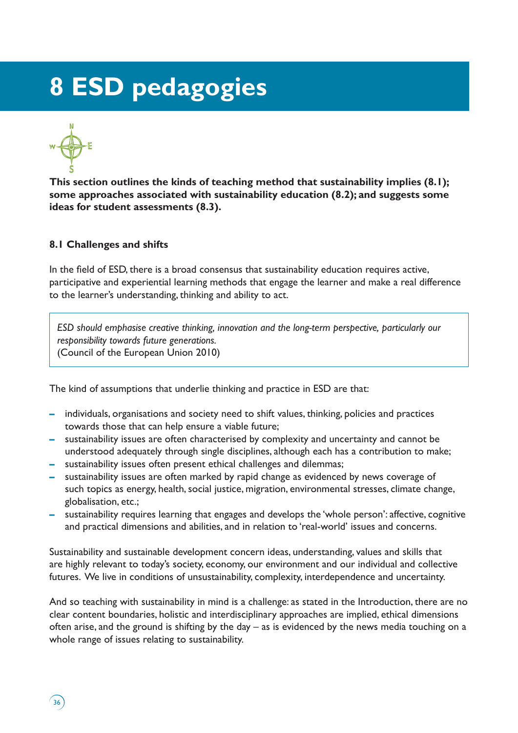# **8 ESD pedagogies**



 $36$ 

**This section outlines the kinds of teaching method that sustainability implies (8.1); some approaches associated with sustainability education (8.2); and suggests some ideas for student assessments (8.3).** 

### **8.1 Challenges and shifts**

In the field of ESD, there is a broad consensus that sustainability education requires active, participative and experiential learning methods that engage the learner and make a real difference to the learner's understanding, thinking and ability to act.

*ESD should emphasise creative thinking, innovation and the long-term perspective, particularly our responsibility towards future generations.* (Council of the European Union 2010)

The kind of assumptions that underlie thinking and practice in ESD are that:

- **–** individuals, organisations and society need to shift values, thinking, policies and practices towards those that can help ensure a viable future;
- **–** sustainability issues are often characterised by complexity and uncertainty and cannot be understood adequately through single disciplines, although each has a contribution to make;
- **–** sustainability issues often present ethical challenges and dilemmas;
- **–** sustainability issues are often marked by rapid change as evidenced by news coverage of such topics as energy, health, social justice, migration, environmental stresses, climate change, globalisation, etc.;
- **–** sustainability requires learning that engages and develops the 'whole person': affective, cognitive and practical dimensions and abilities, and in relation to 'real-world' issues and concerns.

Sustainability and sustainable development concern ideas, understanding, values and skills that are highly relevant to today's society, economy, our environment and our individual and collective futures. We live in conditions of unsustainability, complexity, interdependence and uncertainty.

And so teaching with sustainability in mind is a challenge: as stated in the Introduction, there are no clear content boundaries, holistic and interdisciplinary approaches are implied, ethical dimensions often arise, and the ground is shifting by the day – as is evidenced by the news media touching on a whole range of issues relating to sustainability.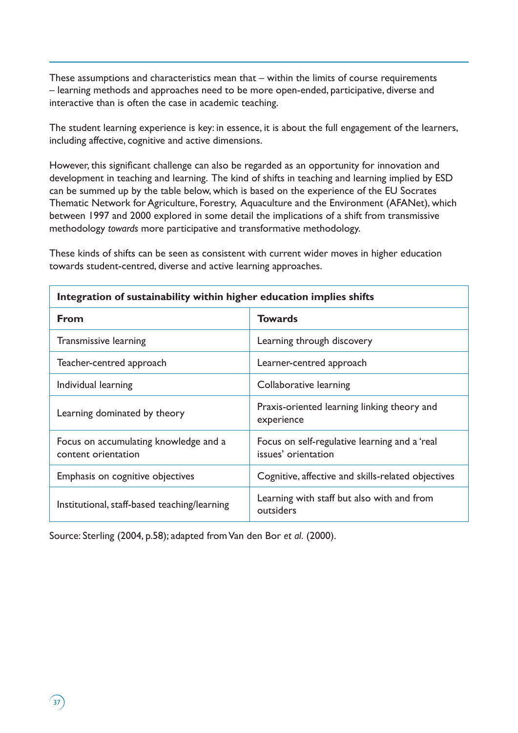These assumptions and characteristics mean that – within the limits of course requirements – learning methods and approaches need to be more open-ended, participative, diverse and interactive than is often the case in academic teaching.

The student learning experience is key: in essence, it is about the full engagement of the learners, including affective, cognitive and active dimensions.

However, this significant challenge can also be regarded as an opportunity for innovation and development in teaching and learning. The kind of shifts in teaching and learning implied by ESD can be summed up by the table below, which is based on the experience of the EU Socrates Thematic Network for Agriculture, Forestry, Aquaculture and the Environment (AFANet), which between 1997 and 2000 explored in some detail the implications of a shift from transmissive methodology *towards* more participative and transformative methodology.

These kinds of shifts can be seen as consistent with current wider moves in higher education towards student-centred, diverse and active learning approaches.

| Integration of sustainability within higher education implies shifts |                                                                      |  |  |
|----------------------------------------------------------------------|----------------------------------------------------------------------|--|--|
| <b>From</b>                                                          | <b>Towards</b>                                                       |  |  |
| Transmissive learning                                                | Learning through discovery                                           |  |  |
| Teacher-centred approach                                             | Learner-centred approach                                             |  |  |
| Individual learning                                                  | Collaborative learning                                               |  |  |
| Learning dominated by theory                                         | Praxis-oriented learning linking theory and<br>experience            |  |  |
| Focus on accumulating knowledge and a<br>content orientation         | Focus on self-regulative learning and a 'real<br>issues' orientation |  |  |
| Emphasis on cognitive objectives                                     | Cognitive, affective and skills-related objectives                   |  |  |
| Institutional, staff-based teaching/learning                         | Learning with staff but also with and from<br>outsiders              |  |  |

**Integration of sustainability within higher education implies shifts**

Source: Sterling (2004, p.58); adapted from Van den Bor *et al*. (2000).

 $\binom{37}{ }$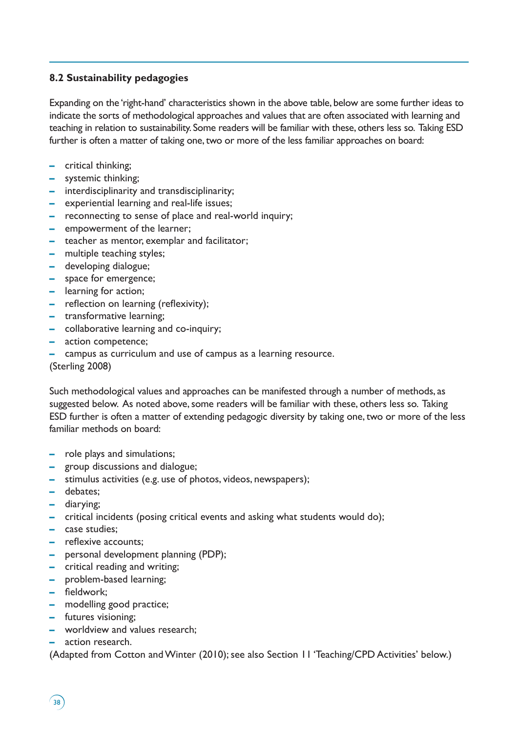# **8.2 Sustainability pedagogies**

Expanding on the 'right-hand' characteristics shown in the above table, below are some further ideas to indicate the sorts of methodological approaches and values that are often associated with learning and teaching in relation to sustainability. Some readers will be familiar with these, others less so. Taking ESD further is often a matter of taking one, two or more of the less familiar approaches on board:

- **–** critical thinking;
- **–** systemic thinking;
- **–** interdisciplinarity and transdisciplinarity;
- **–** experiential learning and real-life issues;
- **–** reconnecting to sense of place and real-world inquiry;
- **–** empowerment of the learner;
- **–** teacher as mentor, exemplar and facilitator;
- **–** multiple teaching styles;
- **–** developing dialogue;
- **–** space for emergence;
- **–** learning for action;
- **–** reflection on learning (reflexivity);
- **–** transformative learning;
- **–** collaborative learning and co-inquiry;
- **–** action competence;
- **–** campus as curriculum and use of campus as a learning resource.

(Sterling 2008)

Such methodological values and approaches can be manifested through a number of methods, as suggested below. As noted above, some readers will be familiar with these, others less so. Taking ESD further is often a matter of extending pedagogic diversity by taking one, two or more of the less familiar methods on board:

- **–** role plays and simulations;
- **–** group discussions and dialogue;
- **–** stimulus activities (e.g. use of photos, videos, newspapers);
- **–** debates;
- **–** diarying;
- **–** critical incidents (posing critical events and asking what students would do);
- **–** case studies;
- **–** reflexive accounts;
- **–** personal development planning (PDP);
- **–** critical reading and writing;
- **–** problem-based learning;
- **–** fieldwork;
- **–** modelling good practice;
- **–** futures visioning;
- **–** worldview and values research;
- **–** action research.

(Adapted from Cotton and Winter (2010); see also Section 11 'Teaching/CPD Activities' below.)

 $38$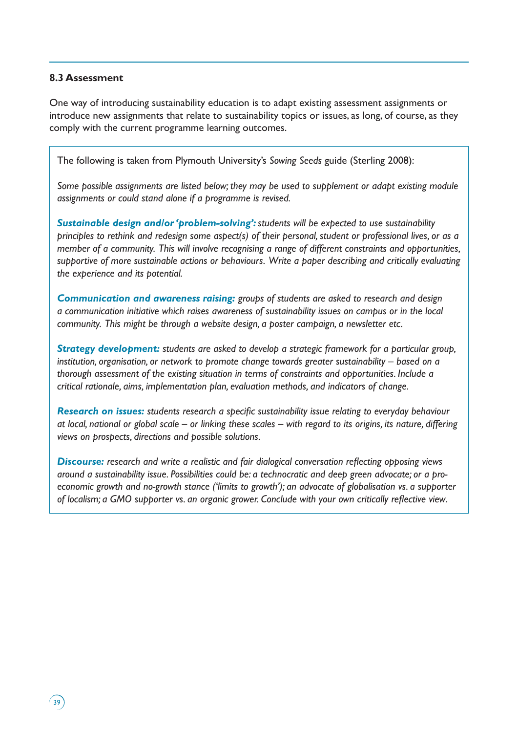## **8.3 Assessment**

 $39<sup>2</sup>$ 

One way of introducing sustainability education is to adapt existing assessment assignments or introduce new assignments that relate to sustainability topics or issues, as long, of course, as they comply with the current programme learning outcomes.

The following is taken from Plymouth University's *Sowing Seeds* guide (Sterling 2008):

*Some possible assignments are listed below; they may be used to supplement or adapt existing module assignments or could stand alone if a programme is revised.* 

*Sustainable design and/or 'problem-solving': students will be expected to use sustainability principles to rethink and redesign some aspect(s) of their personal, student or professional lives, or as a member of a community. This will involve recognising a range of different constraints and opportunities, supportive of more sustainable actions or behaviours. Write a paper describing and critically evaluating the experience and its potential.* 

*Communication and awareness raising: groups of students are asked to research and design a communication initiative which raises awareness of sustainability issues on campus or in the local community. This might be through a website design, a poster campaign, a newsletter etc.*

*Strategy development: students are asked to develop a strategic framework for a particular group, institution, organisation, or network to promote change towards greater sustainability – based on a thorough assessment of the existing situation in terms of constraints and opportunities. Include a critical rationale, aims, implementation plan, evaluation methods, and indicators of change.* 

*Research on issues: students research a specific sustainability issue relating to everyday behaviour at local, national or global scale – or linking these scales – with regard to its origins, its nature, differing views on prospects, directions and possible solutions.* 

*Discourse: research and write a realistic and fair dialogical conversation reflecting opposing views around a sustainability issue. Possibilities could be: a technocratic and deep green advocate; or a proeconomic growth and no-growth stance ('limits to growth'); an advocate of globalisation vs. a supporter of localism; a GMO supporter vs. an organic grower. Conclude with your own critically reflective view*.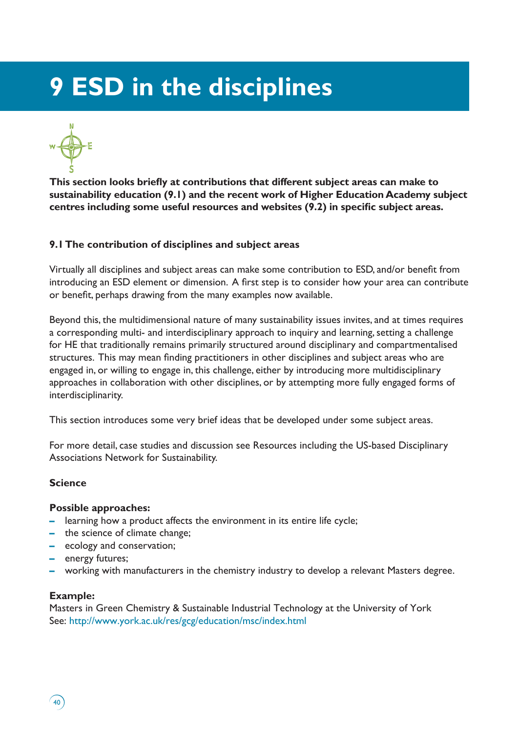# **9 ESD in the disciplines**



**This section looks briefly at contributions that different subject areas can make to sustainability education (9.1) and the recent work of Higher Education Academy subject centres including some useful resources and websites (9.2) in specific subject areas.** 

# **9.1 The contribution of disciplines and subject areas**

Virtually all disciplines and subject areas can make some contribution to ESD, and/or benefit from introducing an ESD element or dimension. A first step is to consider how your area can contribute or benefit, perhaps drawing from the many examples now available.

Beyond this, the multidimensional nature of many sustainability issues invites, and at times requires a corresponding multi- and interdisciplinary approach to inquiry and learning, setting a challenge for HE that traditionally remains primarily structured around disciplinary and compartmentalised structures. This may mean finding practitioners in other disciplines and subject areas who are engaged in, or willing to engage in, this challenge, either by introducing more multidisciplinary approaches in collaboration with other disciplines, or by attempting more fully engaged forms of interdisciplinarity.

This section introduces some very brief ideas that be developed under some subject areas.

For more detail, case studies and discussion see Resources including the US-based Disciplinary Associations Network for Sustainability.

# **Science**

## **Possible approaches:**

- **–** learning how a product affects the environment in its entire life cycle;
- **–** the science of climate change;
- **–** ecology and conservation;
- **–** energy futures;
- **–** working with manufacturers in the chemistry industry to develop a relevant Masters degree.

## **Example:**

 $40<sup>°</sup>$ 

Masters in Green Chemistry & Sustainable Industrial Technology at the University of York See: http://www.york.ac.uk/res/gcg/education/msc/index.html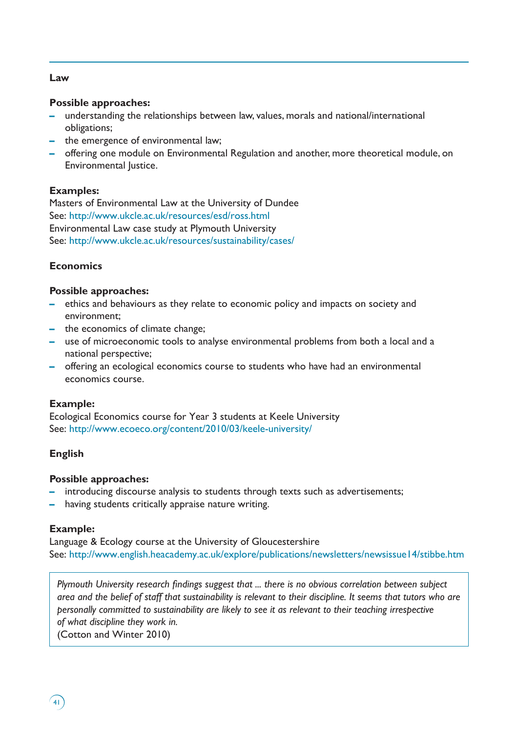## **Law**

#### **Possible approaches:**

- **–** understanding the relationships between law, values, morals and national/international obligations;
- **–** the emergence of environmental law;
- **–** offering one module on Environmental Regulation and another, more theoretical module, on Environmental Justice.

## **Examples:**

Masters of Environmental Law at the University of Dundee See: http://www.ukcle.ac.uk/resources/esd/ross.html Environmental Law case study at Plymouth University See: http://www.ukcle.ac.uk/resources/sustainability/cases/

## **Economics**

#### **Possible approaches:**

- **–** ethics and behaviours as they relate to economic policy and impacts on society and environment;
- **–** the economics of climate change;
- **–** use of microeconomic tools to analyse environmental problems from both a local and a national perspective;
- **–** offering an ecological economics course to students who have had an environmental economics course.

## **Example:**

Ecological Economics course for Year 3 students at Keele University See: http://www.ecoeco.org/content/2010/03/keele-university/

## **English**

#### **Possible approaches:**

- **–** introducing discourse analysis to students through texts such as advertisements;
- **–** having students critically appraise nature writing.

## **Example:**

Language & Ecology course at the University of Gloucestershire See: http://www.english.heacademy.ac.uk/explore/publications/newsletters/newsissue14/stibbe.htm

*Plymouth University research findings suggest that ... there is no obvious correlation between subject area and the belief of staff that sustainability is relevant to their discipline. It seems that tutors who are personally committed to sustainability are likely to see it as relevant to their teaching irrespective of what discipline they work in.*

(Cotton and Winter 2010)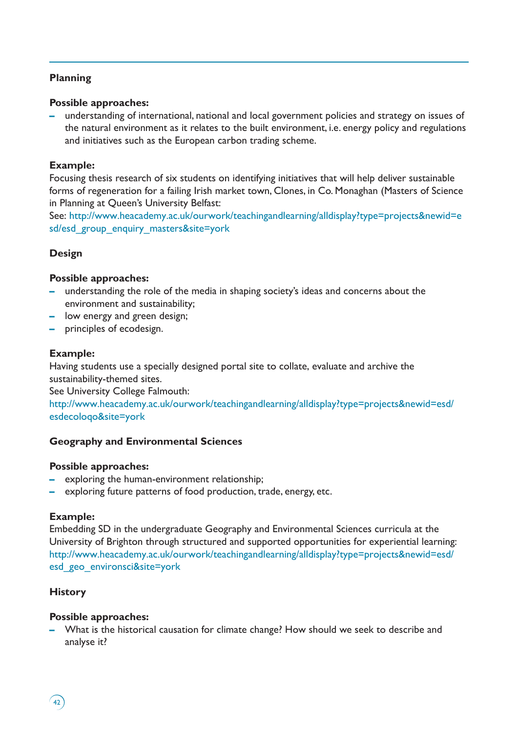# **Planning**

## **Possible approaches:**

**–** understanding of international, national and local government policies and strategy on issues of the natural environment as it relates to the built environment, i.e. energy policy and regulations and initiatives such as the European carbon trading scheme.

## **Example:**

Focusing thesis research of six students on identifying initiatives that will help deliver sustainable forms of regeneration for a failing Irish market town, Clones, in Co. Monaghan (Masters of Science in Planning at Queen's University Belfast:

See: http://www.heacademy.ac.uk/ourwork/teachingandlearning/alldisplay?type=projects&newid=e sd/esd\_group\_enquiry\_masters&site=york

# **Design**

#### **Possible approaches:**

- **–** understanding the role of the media in shaping society's ideas and concerns about the environment and sustainability;
- **–** low energy and green design;
- **–** principles of ecodesign.

#### **Example:**

Having students use a specially designed portal site to collate, evaluate and archive the sustainability-themed sites.

See University College Falmouth:

http://www.heacademy.ac.uk/ourwork/teachingandlearning/alldisplay?type=projects&newid=esd/ esdecoloqo&site=york

## **Geography and Environmental Sciences**

#### **Possible approaches:**

- **–** exploring the human-environment relationship;
- **–** exploring future patterns of food production, trade, energy, etc.

#### **Example:**

Embedding SD in the undergraduate Geography and Environmental Sciences curricula at the University of Brighton through structured and supported opportunities for experiential learning: http://www.heacademy.ac.uk/ourwork/teachingandlearning/alldisplay?type=projects&newid=esd/ esd\_geo\_environsci&site=york

## **History**

 $42$ 

#### **Possible approaches:**

**–** What is the historical causation for climate change? How should we seek to describe and analyse it?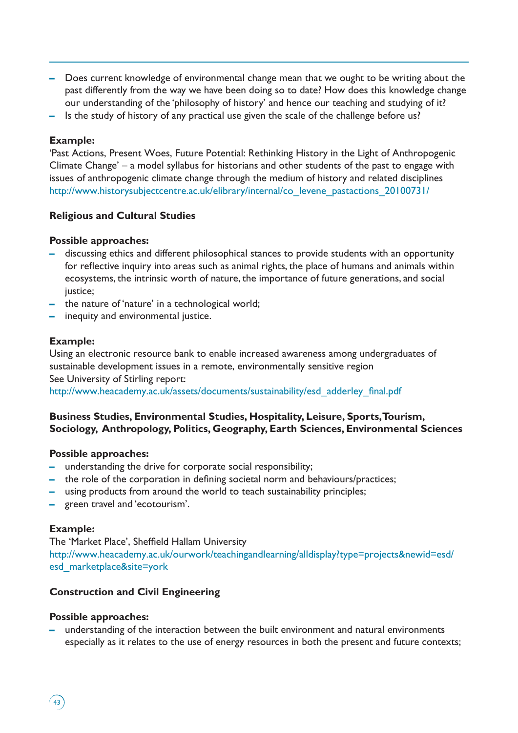- **–** Does current knowledge of environmental change mean that we ought to be writing about the past differently from the way we have been doing so to date? How does this knowledge change our understanding of the 'philosophy of history' and hence our teaching and studying of it?
- **–** Is the study of history of any practical use given the scale of the challenge before us?

#### **Example:**

'Past Actions, Present Woes, Future Potential: Rethinking History in the Light of Anthropogenic Climate Change' – a model syllabus for historians and other students of the past to engage with issues of anthropogenic climate change through the medium of history and related disciplines http://www.historysubjectcentre.ac.uk/elibrary/internal/co\_levene\_pastactions\_20100731/

## **Religious and Cultural Studies**

#### **Possible approaches:**

- **–** discussing ethics and different philosophical stances to provide students with an opportunity for reflective inquiry into areas such as animal rights, the place of humans and animals within ecosystems, the intrinsic worth of nature, the importance of future generations, and social justice;
- **–** the nature of 'nature' in a technological world;
- **–** inequity and environmental justice.

#### **Example:**

Using an electronic resource bank to enable increased awareness among undergraduates of sustainable development issues in a remote, environmentally sensitive region See University of Stirling report:

http://www.heacademy.ac.uk/assets/documents/sustainability/esd\_adderley\_final.pdf

# **Business Studies, Environmental Studies, Hospitality, Leisure, Sports, Tourism, Sociology, Anthropology, Politics, Geography, Earth Sciences, Environmental Sciences**

#### **Possible approaches:**

- **–** understanding the drive for corporate social responsibility;
- **–** the role of the corporation in defining societal norm and behaviours/practices;
- **–** using products from around the world to teach sustainability principles;
- **–** green travel and 'ecotourism'.

#### **Example:**

 $43$ 

The 'Market Place', Sheffield Hallam University http://www.heacademy.ac.uk/ourwork/teachingandlearning/alldisplay?type=projects&newid=esd/ esd\_marketplace&site=york

#### **Construction and Civil Engineering**

#### **Possible approaches:**

**–** understanding of the interaction between the built environment and natural environments especially as it relates to the use of energy resources in both the present and future contexts;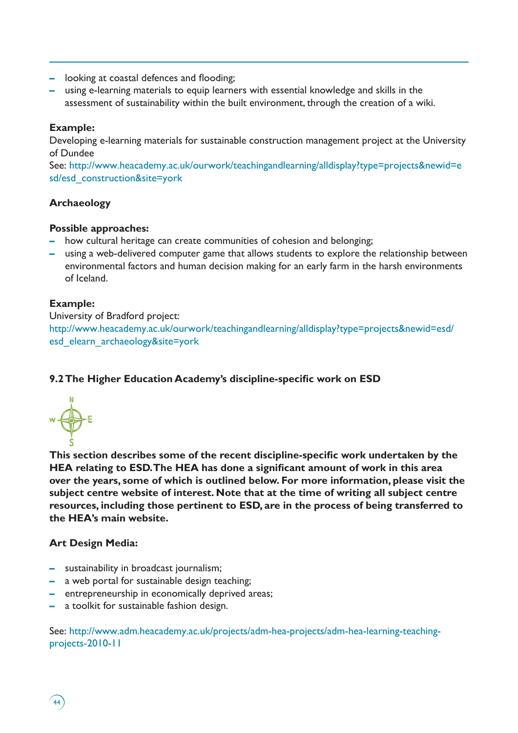- **–** looking at coastal defences and flooding;
- **–** using e-learning materials to equip learners with essential knowledge and skills in the assessment of sustainability within the built environment, through the creation of a wiki.

# **Example:**

Developing e-learning materials for sustainable construction management project at the University of Dundee

See: http://www.heacademy.ac.uk/ourwork/teachingandlearning/alldisplay?type=projects&newid=e sd/esd\_construction&site=york

# **Archaeology**

# **Possible approaches:**

- **–** how cultural heritage can create communities of cohesion and belonging;
- **–** using a web-delivered computer game that allows students to explore the relationship between environmental factors and human decision making for an early farm in the harsh environments of Iceland.

# **Example:**

University of Bradford project:

http://www.heacademy.ac.uk/ourwork/teachingandlearning/alldisplay?type=projects&newid=esd/ esd\_elearn\_archaeology&site=york

# **9.2 The Higher Education Academy's discipline-specific work on ESD**



**This section describes some of the recent discipline-specific work undertaken by the HEA relating to ESD. The HEA has done a significant amount of work in this area over the years, some of which is outlined below. For more information, please visit the subject centre website of interest. Note that at the time of writing all subject centre resources, including those pertinent to ESD, are in the process of being transferred to the HEA's main website.**

# **Art Design Media:**

44

- **–** sustainability in broadcast journalism;
- **–** a web portal for sustainable design teaching;
- **–** entrepreneurship in economically deprived areas;
- **–** a toolkit for sustainable fashion design.

See: http://www.adm.heacademy.ac.uk/projects/adm-hea-projects/adm-hea-learning-teachingprojects-2010-11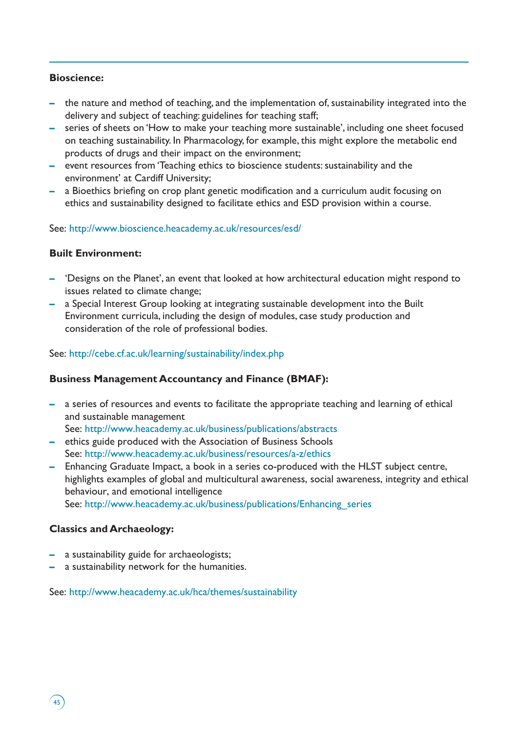# **Bioscience:**

- **–** the nature and method of teaching, and the implementation of, sustainability integrated into the delivery and subject of teaching: guidelines for teaching staff;
- **–** series of sheets on 'How to make your teaching more sustainable', including one sheet focused on teaching sustainability. In Pharmacology, for example, this might explore the metabolic end products of drugs and their impact on the environment;
- **–** event resources from 'Teaching ethics to bioscience students: sustainability and the environment' at Cardiff University;
- **–** a Bioethics briefing on crop plant genetic modification and a curriculum audit focusing on ethics and sustainability designed to facilitate ethics and ESD provision within a course.

# See: http://www.bioscience.heacademy.ac.uk/resources/esd/

# **Built Environment:**

- **–** 'Designs on the Planet', an event that looked at how architectural education might respond to issues related to climate change;
- **–** a Special Interest Group looking at integrating sustainable development into the Built Environment curricula, including the design of modules, case study production and consideration of the role of professional bodies.

# See: http://cebe.cf.ac.uk/learning/sustainability/index.php

## **Business Management Accountancy and Finance (BMAF):**

- **–** a series of resources and events to facilitate the appropriate teaching and learning of ethical and sustainable management See: http://www.heacademy.ac.uk/business/publications/abstracts
- **–** ethics guide produced with the Association of Business Schools
- See: http://www.heacademy.ac.uk/business/resources/a-z/ethics
- **–** Enhancing Graduate Impact, a book in a series co-produced with the HLST subject centre, highlights examples of global and multicultural awareness, social awareness, integrity and ethical behaviour, and emotional intelligence See: http://www.heacademy.ac.uk/business/publications/Enhancing\_series

## **Classics and Archaeology:**

 $45$ 

- **–** a sustainability guide for archaeologists;
- **–** a sustainability network for the humanities.

See: http://www.heacademy.ac.uk/hca/themes/sustainability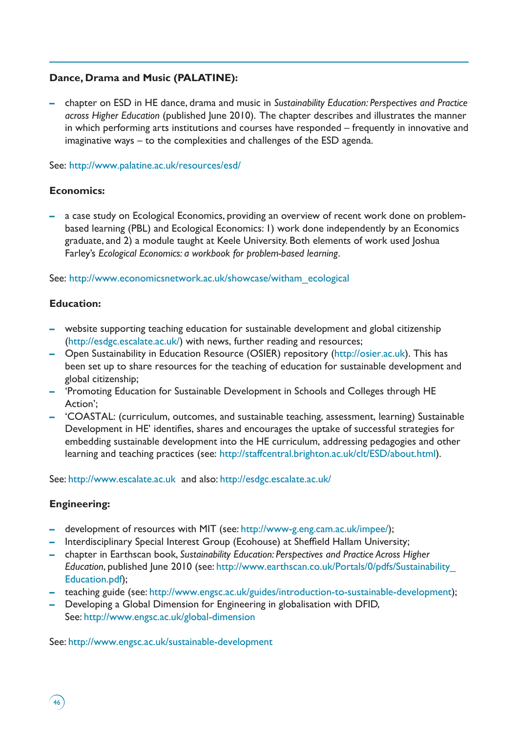# **Dance, Drama and Music (PALATINE):**

**–** chapter on ESD in HE dance, drama and music in *Sustainability Education: Perspectives and Practice across Higher Education* (published June 2010). The chapter describes and illustrates the manner in which performing arts institutions and courses have responded – frequently in innovative and imaginative ways – to the complexities and challenges of the ESD agenda.

## See: http://www.palatine.ac.uk/resources/esd/

# **Economics:**

**–** a case study on Ecological Economics, providing an overview of recent work done on problembased learning (PBL) and Ecological Economics: 1) work done independently by an Economics graduate, and 2) a module taught at Keele University. Both elements of work used Joshua Farley's *Ecological Economics: a workbook for problem-based learning*.

# See: http://www.economicsnetwork.ac.uk/showcase/witham\_ecological

# **Education:**

- **–** website supporting teaching education for sustainable development and global citizenship (http://esdgc.escalate.ac.uk/) with news, further reading and resources;
- **–** Open Sustainability in Education Resource (OSIER) repository (http://osier.ac.uk). This has been set up to share resources for the teaching of education for sustainable development and global citizenship;
- **–** 'Promoting Education for Sustainable Development in Schools and Colleges through HE Action';
- **–** 'COASTAL: (curriculum, outcomes, and sustainable teaching, assessment, learning) Sustainable Development in HE' identifies, shares and encourages the uptake of successful strategies for embedding sustainable development into the HE curriculum, addressing pedagogies and other learning and teaching practices (see: http://staffcentral.brighton.ac.uk/clt/ESD/about.html).

See: http://www.escalate.ac.uk and also: http://esdgc.escalate.ac.uk/

# **Engineering:**

 $46$ 

- **–** development of resources with MIT (see: http://www-g.eng.cam.ac.uk/impee/);
- **–** Interdisciplinary Special Interest Group (Ecohouse) at Sheffield Hallam University;
- **–** chapter in Earthscan book, *Sustainability Education: Perspectives and Practice Across Higher Education*, published June 2010 (see: http://www.earthscan.co.uk/Portals/0/pdfs/Sustainability\_ Education.pdf);
- **–** teaching guide (see: http://www.engsc.ac.uk/guides/introduction-to-sustainable-development);
- **–** Developing a Global Dimension for Engineering in globalisation with DFID, See: http://www.engsc.ac.uk/global-dimension

See: http://www.engsc.ac.uk/sustainable-development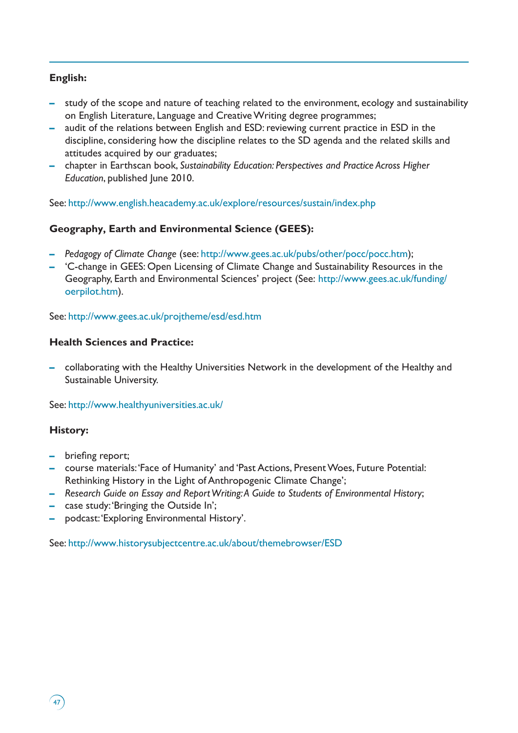# **English:**

- **–** study of the scope and nature of teaching related to the environment, ecology and sustainability on English Literature, Language and Creative Writing degree programmes;
- **–** audit of the relations between English and ESD: reviewing current practice in ESD in the discipline, considering how the discipline relates to the SD agenda and the related skills and attitudes acquired by our graduates;
- **–** chapter in Earthscan book, *Sustainability Education: Perspectives and Practice Across Higher Education*, published June 2010.

See: http://www.english.heacademy.ac.uk/explore/resources/sustain/index.php

# **Geography, Earth and Environmental Science (GEES):**

- **–** *Pedagogy of Climate Change* (see: http://www.gees.ac.uk/pubs/other/pocc/pocc.htm);
- **–** 'C-change in GEES: Open Licensing of Climate Change and Sustainability Resources in the Geography, Earth and Environmental Sciences' project (See: http://www.gees.ac.uk/funding/ oerpilot.htm).

See: http://www.gees.ac.uk/projtheme/esd/esd.htm

# **Health Sciences and Practice:**

**–** collaborating with the Healthy Universities Network in the development of the Healthy and Sustainable University.

See: http://www.healthyuniversities.ac.uk/

# **History:**

 $47$ 

- **–** briefing report;
- **–** course materials: 'Face of Humanity' and 'Past Actions, Present Woes, Future Potential: Rethinking History in the Light of Anthropogenic Climate Change';
- **–** *Research Guide on Essay and Report Writing: A Guide to Students of Environmental History*;
- **–** case study: 'Bringing the Outside In';
- **–** podcast: 'Exploring Environmental History'.

See: http://www.historysubjectcentre.ac.uk/about/themebrowser/ESD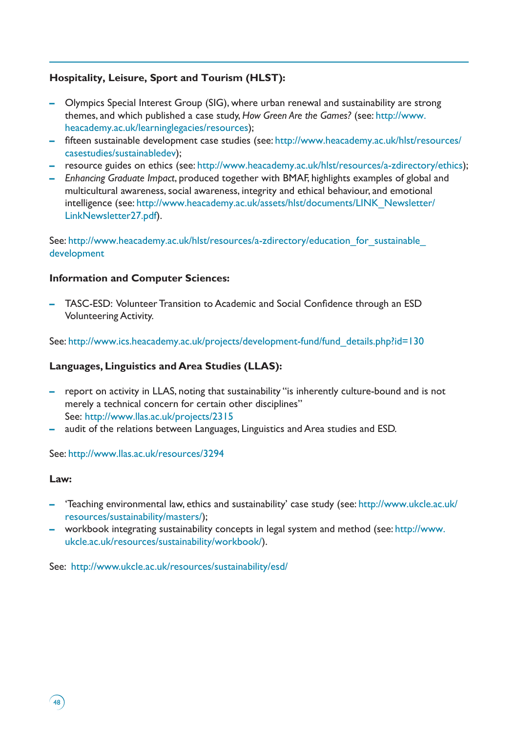# **Hospitality, Leisure, Sport and Tourism (HLST):**

- **–** Olympics Special Interest Group (SIG), where urban renewal and sustainability are strong themes, and which published a case study, *How Green Are the Games?* (see: http://www. heacademy.ac.uk/learninglegacies/resources);
- **–** fifteen sustainable development case studies (see: http://www.heacademy.ac.uk/hlst/resources/ casestudies/sustainabledev);
- **–** resource guides on ethics (see: http://www.heacademy.ac.uk/hlst/resources/a-zdirectory/ethics);
- **–** *Enhancing Graduate Impact*, produced together with BMAF, highlights examples of global and multicultural awareness, social awareness, integrity and ethical behaviour, and emotional intelligence (see: http://www.heacademy.ac.uk/assets/hlst/documents/LINK\_Newsletter/ LinkNewsletter27.pdf).

See: http://www.heacademy.ac.uk/hlst/resources/a-zdirectory/education for sustainable development

## **Information and Computer Sciences:**

**–** TASC-ESD: Volunteer Transition to Academic and Social Confidence through an ESD Volunteering Activity.

See: http://www.ics.heacademy.ac.uk/projects/development-fund/fund\_details.php?id=130

## **Languages, Linguistics and Area Studies (LLAS):**

- **–** report on activity in LLAS, noting that sustainability "is inherently culture-bound and is not merely a technical concern for certain other disciplines" See: http://www.llas.ac.uk/projects/2315
- **–** audit of the relations between Languages, Linguistics and Area studies and ESD.

See: http://www.llas.ac.uk/resources/3294

#### **Law:**

 $48$ 

- **–** 'Teaching environmental law, ethics and sustainability' case study (see: http://www.ukcle.ac.uk/ resources/sustainability/masters/);
- **–** workbook integrating sustainability concepts in legal system and method (see: http://www. ukcle.ac.uk/resources/sustainability/workbook/).

See: http://www.ukcle.ac.uk/resources/sustainability/esd/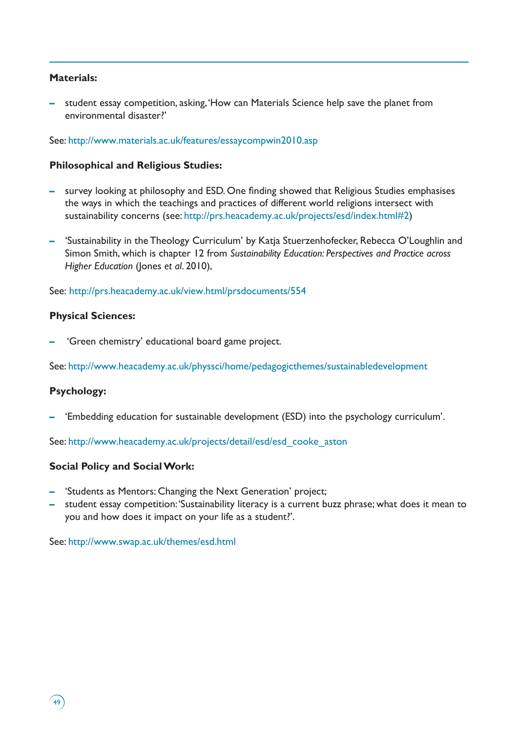## **Materials:**

**–** student essay competition, asking, 'How can Materials Science help save the planet from environmental disaster?'

#### See: http://www.materials.ac.uk/features/essaycompwin2010.asp

## **Philosophical and Religious Studies:**

- **–** survey looking at philosophy and ESD. One finding showed that Religious Studies emphasises the ways in which the teachings and practices of different world religions intersect with sustainability concerns (see: http://prs.heacademy.ac.uk/projects/esd/index.html#2)
- **–** 'Sustainability in the Theology Curriculum' by Katja Stuerzenhofecker, Rebecca O'Loughlin and Simon Smith, which is chapter 12 from *Sustainability Education: Perspectives and Practice across Higher Education* (Jones *et al*. 2010),

See: http://prs.heacademy.ac.uk/view.html/prsdocuments/554

# **Physical Sciences:**

**–** 'Green chemistry' educational board game project.

See: http://www.heacademy.ac.uk/physsci/home/pedagogicthemes/sustainabledevelopment

# **Psychology:**

**–** 'Embedding education for sustainable development (ESD) into the psychology curriculum'.

See: http://www.heacademy.ac.uk/projects/detail/esd/esd\_cooke\_aston

# **Social Policy and Social Work:**

- **–** 'Students as Mentors: Changing the Next Generation' project;
- **–** student essay competition: 'Sustainability literacy is a current buzz phrase; what does it mean to you and how does it impact on your life as a student?'.

See: http://www.swap.ac.uk/themes/esd.html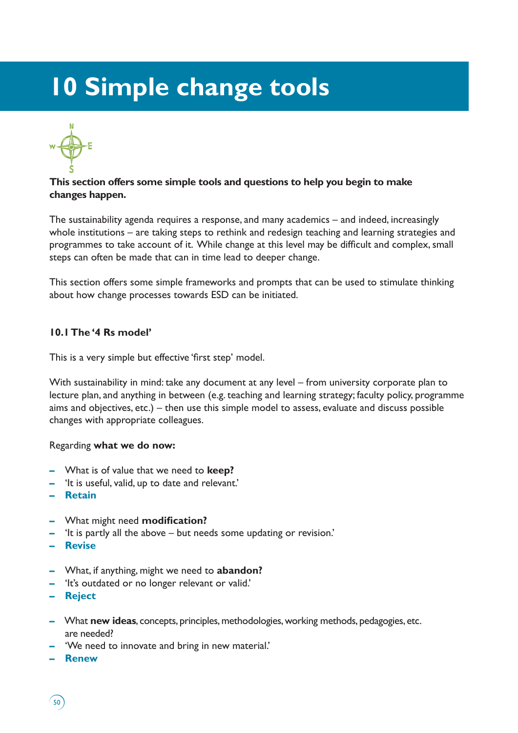# **10 Simple change tools**



# **This section offers some simple tools and questions to help you begin to make changes happen.**

The sustainability agenda requires a response, and many academics – and indeed, increasingly whole institutions – are taking steps to rethink and redesign teaching and learning strategies and programmes to take account of it. While change at this level may be difficult and complex, small steps can often be made that can in time lead to deeper change.

This section offers some simple frameworks and prompts that can be used to stimulate thinking about how change processes towards ESD can be initiated.

# **10.1 The '4 Rs model'**

This is a very simple but effective 'first step' model.

With sustainability in mind: take any document at any level – from university corporate plan to lecture plan, and anything in between (e.g. teaching and learning strategy; faculty policy, programme aims and objectives, etc.) – then use this simple model to assess, evaluate and discuss possible changes with appropriate colleagues.

## Regarding **what we do now:**

- **–** What is of value that we need to **keep?**
- **–** 'It is useful, valid, up to date and relevant.'
- **– Retain**
- **–** What might need **modification?**
- **–** 'It is partly all the above but needs some updating or revision.'
- **– Revise**
- **–** What, if anything, might we need to **abandon?**
- **–** 'It's outdated or no longer relevant or valid.'
- **– Reject**
- **–** What **new ideas**, concepts, principles, methodologies, working methods, pedagogies, etc. are needed?
- **–** 'We need to innovate and bring in new material.'
- **– Renew**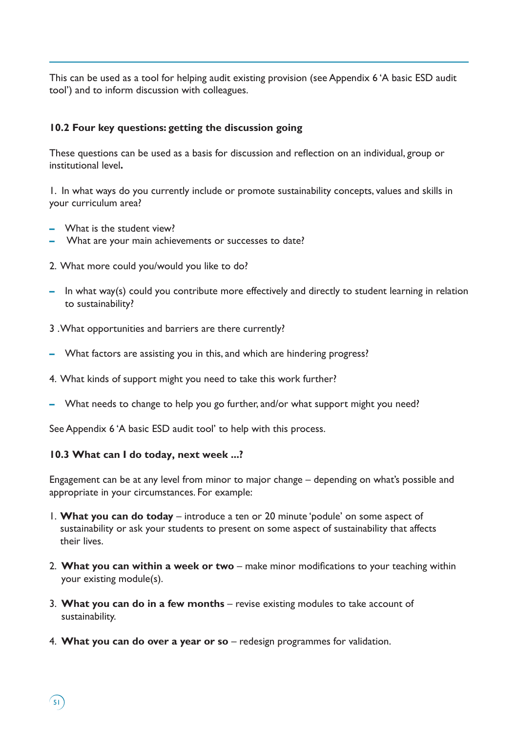This can be used as a tool for helping audit existing provision (see Appendix 6 'A basic ESD audit tool') and to inform discussion with colleagues.

# **10.2 Four key questions: getting the discussion going**

These questions can be used as a basis for discussion and reflection on an individual, group or institutional level**.** 

1. In what ways do you currently include or promote sustainability concepts, values and skills in your curriculum area?

- **–** What is the student view?
- **–** What are your main achievements or successes to date?
- 2. What more could you/would you like to do?
- **–** In what way(s) could you contribute more effectively and directly to student learning in relation to sustainability?
- 3 . What opportunities and barriers are there currently?
- **–** What factors are assisting you in this, and which are hindering progress?
- 4. What kinds of support might you need to take this work further?
- **–** What needs to change to help you go further, and/or what support might you need?

See Appendix 6 'A basic ESD audit tool' to help with this process.

#### **10.3 What can I do today, next week ...?**

 $\binom{5}{ }$ 

Engagement can be at any level from minor to major change – depending on what's possible and appropriate in your circumstances. For example:

- 1. **What you can do today** introduce a ten or 20 minute 'podule' on some aspect of sustainability or ask your students to present on some aspect of sustainability that affects their lives.
- 2. **What you can within a week or two** make minor modifications to your teaching within your existing module(s).
- 3. **What you can do in a few months** revise existing modules to take account of sustainability.
- 4. **What you can do over a year or so** *–* redesign programmes for validation.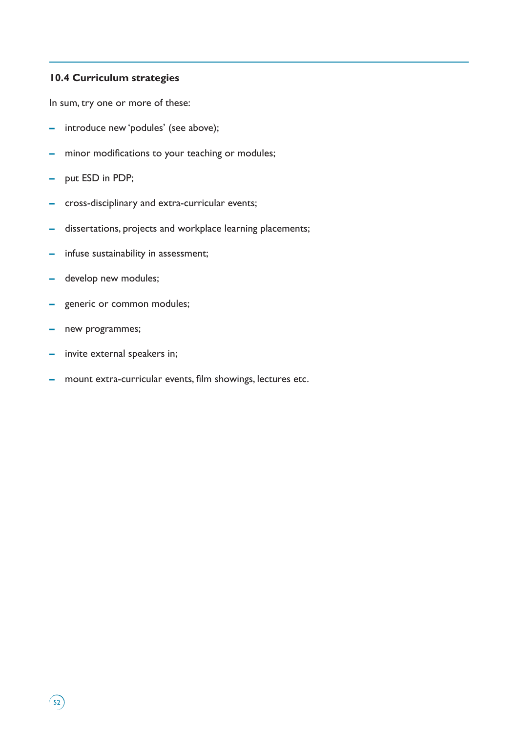# **10.4 Curriculum strategies**

In sum, try one or more of these:

- **–** introduce new 'podules' (see above);
- **–** minor modifications to your teaching or modules;
- **–** put ESD in PDP;
- **–** cross-disciplinary and extra-curricular events;
- **–** dissertations, projects and workplace learning placements;
- **–** infuse sustainability in assessment;
- **–** develop new modules;
- **–** generic or common modules;
- **–** new programmes;

 $\binom{52}{ }$ 

- **–** invite external speakers in;
- **–** mount extra-curricular events, film showings, lectures etc.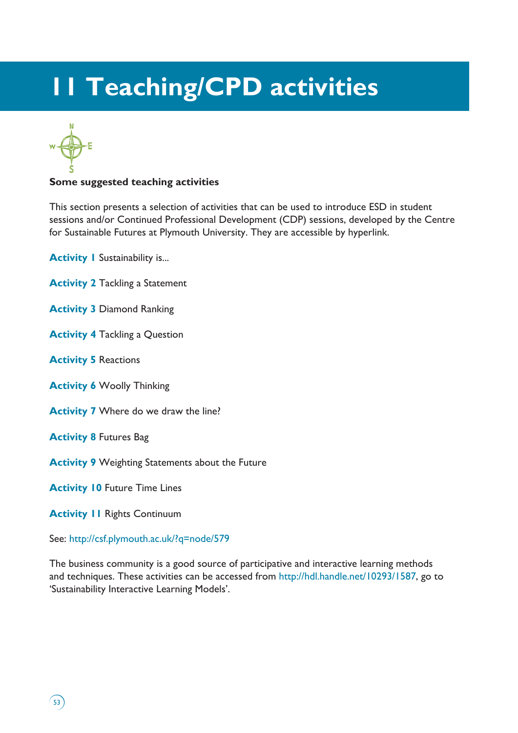# **11 Teaching/CPD activities**



## **Some suggested teaching activities**

This section presents a selection of activities that can be used to introduce ESD in student sessions and/or Continued Professional Development (CDP) sessions, developed by the Centre for Sustainable Futures at Plymouth University. They are accessible by hyperlink.

**Activity I** Sustainability is...

- **Activity 2** Tackling a Statement
- **Activity 3** Diamond Ranking
- **Activity 4** Tackling a Question
- **Activity 5** Reactions
- **Activity 6** Woolly Thinking
- **Activity 7** Where do we draw the line?
- **Activity 8** Futures Bag

 $\binom{53}{ }$ 

**Activity 9** Weighting Statements about the Future

**Activity 10 Future Time Lines** 

**Activity 11 Rights Continuum** 

See: http://csf.plymouth.ac.uk/?q=node/579

The business community is a good source of participative and interactive learning methods and techniques. These activities can be accessed from http://hdl.handle.net/10293/1587, go to 'Sustainability Interactive Learning Models'.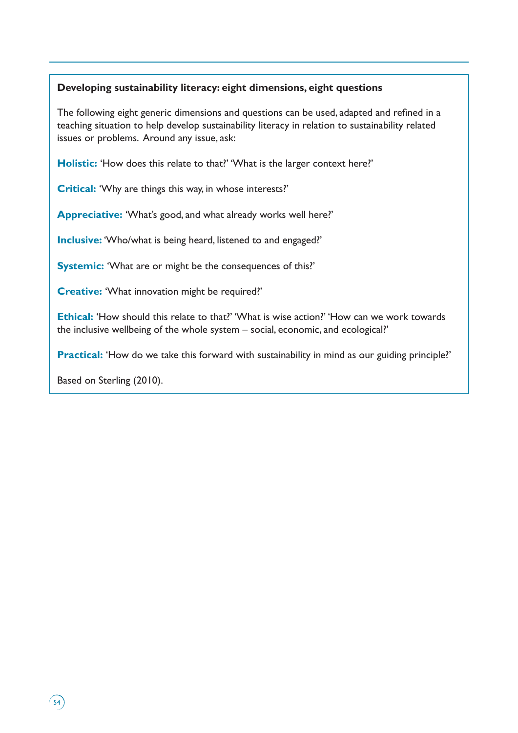# **Developing sustainability literacy: eight dimensions, eight questions**

The following eight generic dimensions and questions can be used, adapted and refined in a teaching situation to help develop sustainability literacy in relation to sustainability related issues or problems. Around any issue, ask:

**Holistic:** 'How does this relate to that?' 'What is the larger context here?'

**Critical:** 'Why are things this way, in whose interests?'

**Appreciative:** 'What's good, and what already works well here?'

**Inclusive:** 'Who/what is being heard, listened to and engaged?'

**Systemic:** 'What are or might be the consequences of this?'

**Creative:** 'What innovation might be required?'

**Ethical:** 'How should this relate to that?' 'What is wise action?' 'How can we work towards the inclusive wellbeing of the whole system – social, economic, and ecological?'

**Practical:** 'How do we take this forward with sustainability in mind as our guiding principle?'

Based on Sterling (2010).

 $\left(54\right)$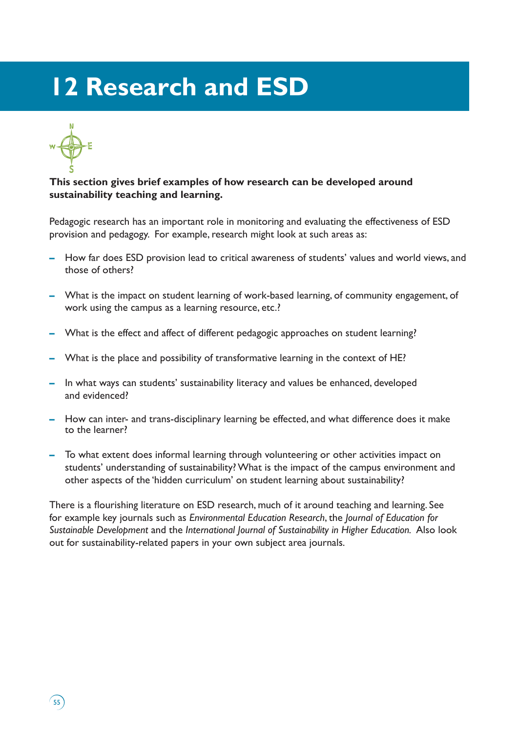# **12 Research and ESD**



# **This section gives brief examples of how research can be developed around sustainability teaching and learning.**

Pedagogic research has an important role in monitoring and evaluating the effectiveness of ESD provision and pedagogy. For example, research might look at such areas as:

- **–** How far does ESD provision lead to critical awareness of students' values and world views, and those of others?
- **–** What is the impact on student learning of work-based learning, of community engagement, of work using the campus as a learning resource, etc.?
- **–** What is the effect and affect of different pedagogic approaches on student learning?
- **–** What is the place and possibility of transformative learning in the context of HE?
- **–** In what ways can students' sustainability literacy and values be enhanced, developed and evidenced?
- **–** How can inter- and trans-disciplinary learning be effected, and what difference does it make to the learner?
- **–** To what extent does informal learning through volunteering or other activities impact on students' understanding of sustainability? What is the impact of the campus environment and other aspects of the 'hidden curriculum' on student learning about sustainability?

There is a flourishing literature on ESD research, much of it around teaching and learning. See for example key journals such as *Environmental Education Research*, the *Journal of Education for Sustainable Development* and the *International Journal of Sustainability in Higher Education.* Also look out for sustainability-related papers in your own subject area journals.

 $55$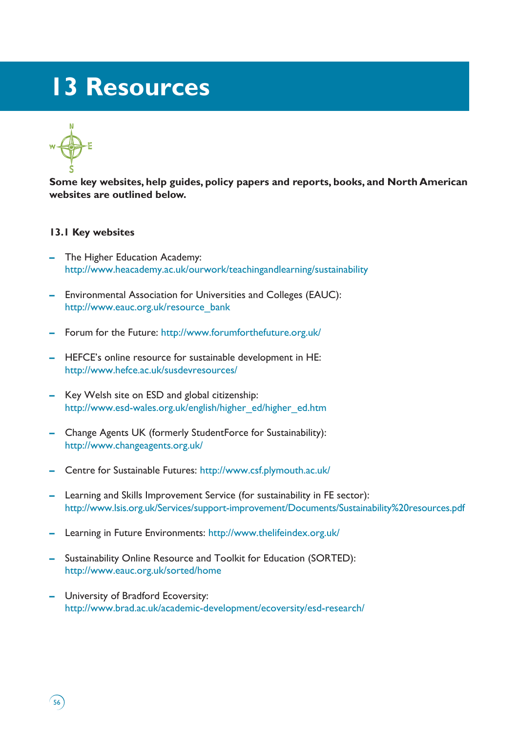# **13 Resources**



 $56$ 

**Some key websites, help guides, policy papers and reports, books, and North American websites are outlined below.** 

## **13.1 Key websites**

- **–** The Higher Education Academy: http://www.heacademy.ac.uk/ourwork/teachingandlearning/sustainability
- **–** Environmental Association for Universities and Colleges (EAUC): http://www.eauc.org.uk/resource\_bank
- **–** Forum for the Future: http://www.forumforthefuture.org.uk/
- **–** HEFCE's online resource for sustainable development in HE: http://www.hefce.ac.uk/susdevresources/
- **–** Key Welsh site on ESD and global citizenship: http://www.esd-wales.org.uk/english/higher\_ed/higher\_ed.htm
- **–** Change Agents UK (formerly StudentForce for Sustainability): http://www.changeagents.org.uk/
- **–** Centre for Sustainable Futures: http://www.csf.plymouth.ac.uk/
- **–** Learning and Skills Improvement Service (for sustainability in FE sector): http://www.lsis.org.uk/Services/support-improvement/Documents/Sustainability%20resources.pdf
- **–** Learning in Future Environments: http://www.thelifeindex.org.uk/
- **–** Sustainability Online Resource and Toolkit for Education (SORTED): http://www.eauc.org.uk/sorted/home
- **–** University of Bradford Ecoversity: http://www.brad.ac.uk/academic-development/ecoversity/esd-research/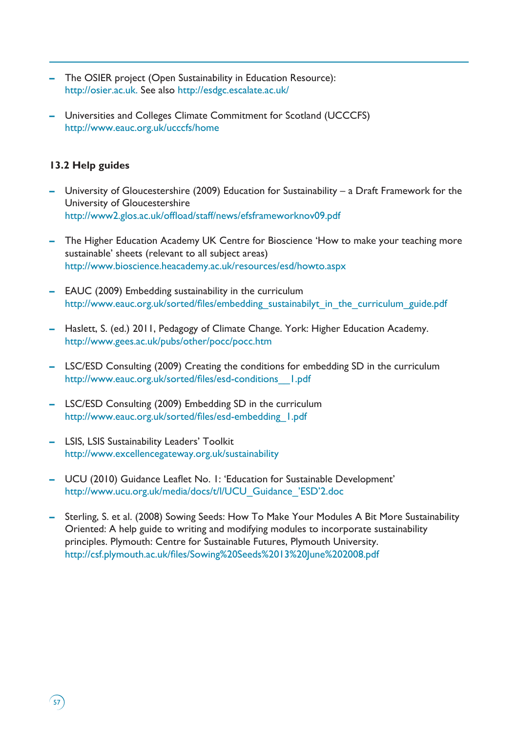- **–** The OSIER project (Open Sustainability in Education Resource): http://osier.ac.uk. See also http://esdgc.escalate.ac.uk/
- **–** Universities and Colleges Climate Commitment for Scotland (UCCCFS) http://www.eauc.org.uk/ucccfs/home

# **13.2 Help guides**

 $\sqrt{57}$ 

- **–** University of Gloucestershire (2009) Education for Sustainability a Draft Framework for the University of Gloucestershire http://www2.glos.ac.uk/offload/staff/news/efsframeworknov09.pdf
- **–** The Higher Education Academy UK Centre for Bioscience 'How to make your teaching more sustainable' sheets (relevant to all subject areas) http://www.bioscience.heacademy.ac.uk/resources/esd/howto.aspx
- **–** EAUC (2009) Embedding sustainability in the curriculum http://www.eauc.org.uk/sorted/files/embedding\_sustainabilyt\_in\_the\_curriculum\_guide.pdf
- **–** Haslett, S. (ed.) 2011, Pedagogy of Climate Change. York: Higher Education Academy. http://www.gees.ac.uk/pubs/other/pocc/pocc.htm
- **–** LSC/ESD Consulting (2009) Creating the conditions for embedding SD in the curriculum http://www.eauc.org.uk/sorted/files/esd-conditions\_\_1.pdf
- **–** LSC/ESD Consulting (2009) Embedding SD in the curriculum http://www.eauc.org.uk/sorted/files/esd-embedding\_1.pdf
- **–** LSIS, LSIS Sustainability Leaders' Toolkit http://www.excellencegateway.org.uk/sustainability
- **–** UCU (2010) Guidance Leaflet No. 1: 'Education for Sustainable Development' http://www.ucu.org.uk/media/docs/t/l/UCU\_Guidance\_'ESD'2.doc
- **–** Sterling, S. et al. (2008) Sowing Seeds: How To Make Your Modules A Bit More Sustainability Oriented: A help guide to writing and modifying modules to incorporate sustainability principles. Plymouth: Centre for Sustainable Futures, Plymouth University. http://csf.plymouth.ac.uk/files/Sowing%20Seeds%2013%20June%202008.pdf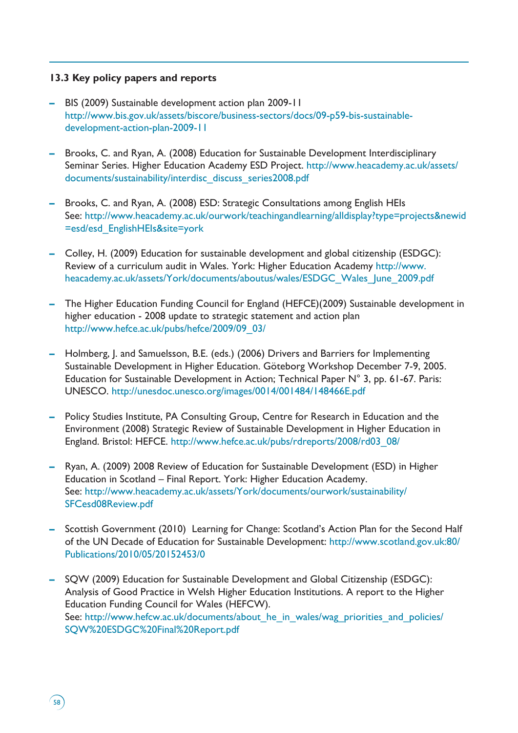# **13.3 Key policy papers and reports**

- **–** BIS (2009) Sustainable development action plan 2009-11 http://www.bis.gov.uk/assets/biscore/business-sectors/docs/09-p59-bis-sustainabledevelopment-action-plan-2009-11
- **–** Brooks, C. and Ryan, A. (2008) Education for Sustainable Development Interdisciplinary Seminar Series. Higher Education Academy ESD Project. http://www.heacademy.ac.uk/assets/ documents/sustainability/interdisc\_discuss\_series2008.pdf
- **–** Brooks, C. and Ryan, A. (2008) ESD: Strategic Consultations among English HEIs See: http://www.heacademy.ac.uk/ourwork/teachingandlearning/alldisplay?type=projects&newid =esd/esd\_EnglishHEIs&site=york
- **–** Colley, H. (2009) Education for sustainable development and global citizenship (ESDGC): Review of a curriculum audit in Wales. York: Higher Education Academy http://www. heacademy.ac.uk/assets/York/documents/aboutus/wales/ESDGC\_Wales\_June\_2009.pdf
- **–** The Higher Education Funding Council for England (HEFCE)(2009) Sustainable development in higher education - 2008 update to strategic statement and action plan http://www.hefce.ac.uk/pubs/hefce/2009/09\_03/
- **–** Holmberg, J. and Samuelsson, B.E. (eds.) (2006) Drivers and Barriers for Implementing Sustainable Development in Higher Education. Göteborg Workshop December 7-9, 2005. Education for Sustainable Development in Action; Technical Paper N° 3, pp. 61-67. Paris: UNESCO. http://unesdoc.unesco.org/images/0014/001484/148466E.pdf
- **–** Policy Studies Institute, PA Consulting Group, Centre for Research in Education and the Environment (2008) Strategic Review of Sustainable Development in Higher Education in England. Bristol: HEFCE. http://www.hefce.ac.uk/pubs/rdreports/2008/rd03\_08/
- **–** Ryan, A. (2009) 2008 Review of Education for Sustainable Development (ESD) in Higher Education in Scotland – Final Report. York: Higher Education Academy. See: http://www.heacademy.ac.uk/assets/York/documents/ourwork/sustainability/ SFCesd08Review.pdf
- **–** Scottish Government (2010) Learning for Change: Scotland's Action Plan for the Second Half of the UN Decade of Education for Sustainable Development: http://www.scotland.gov.uk:80/ Publications/2010/05/20152453/0
- **–** SQW (2009) Education for Sustainable Development and Global Citizenship (ESDGC): Analysis of Good Practice in Welsh Higher Education Institutions. A report to the Higher Education Funding Council for Wales (HEFCW). See: http://www.hefcw.ac.uk/documents/about\_he\_in\_wales/wag\_priorities\_and\_policies/ SQW%20ESDGC%20Final%20Report.pdf

 $58$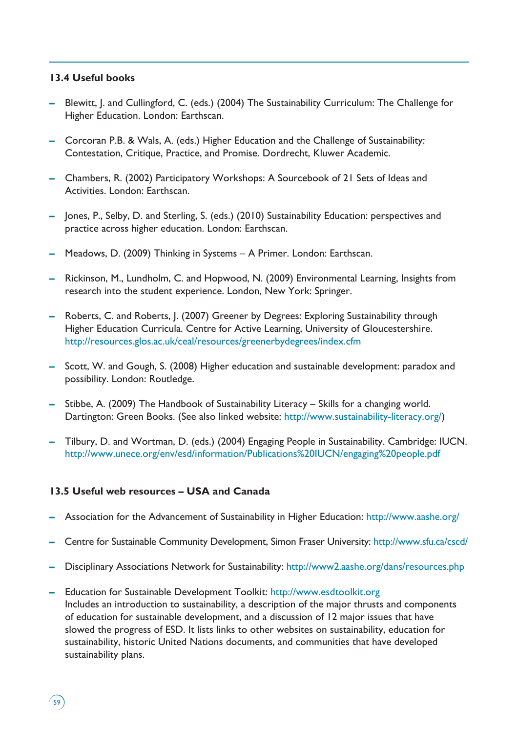# **13.4 Useful books**

- **–** Blewitt, J. and Cullingford, C. (eds.) (2004) The Sustainability Curriculum: The Challenge for Higher Education. London: Earthscan.
- **–** Corcoran P.B. & Wals, A. (eds.) Higher Education and the Challenge of Sustainability: Contestation, Critique, Practice, and Promise. Dordrecht, Kluwer Academic.
- **–** Chambers, R. (2002) Participatory Workshops: A Sourcebook of 21 Sets of Ideas and Activities. London: Earthscan.
- **–** Jones, P., Selby, D. and Sterling, S. (eds.) (2010) Sustainability Education: perspectives and practice across higher education. London: Earthscan.
- **–** Meadows, D. (2009) Thinking in Systems A Primer. London: Earthscan.
- **–** Rickinson, M., Lundholm, C. and Hopwood, N. (2009) Environmental Learning, Insights from research into the student experience. London, New York: Springer.
- **–** Roberts, C. and Roberts, J. (2007) Greener by Degrees: Exploring Sustainability through Higher Education Curricula. Centre for Active Learning, University of Gloucestershire. http://resources.glos.ac.uk/ceal/resources/greenerbydegrees/index.cfm
- **–** Scott, W. and Gough, S. (2008) Higher education and sustainable development: paradox and possibility. London: Routledge.
- **–** Stibbe, A. (2009) The Handbook of Sustainability Literacy Skills for a changing world. Dartington: Green Books. (See also linked website: http://www.sustainability-literacy.org/)
- **–** Tilbury, D. and Wortman, D. (eds.) (2004) Engaging People in Sustainability. Cambridge: IUCN. http://www.unece.org/env/esd/information/Publications%20IUCN/engaging%20people.pdf

# **13.5 Useful web resources – USA and Canada**

 $\sqrt{59}$ 

- **–** Association for the Advancement of Sustainability in Higher Education: http://www.aashe.org/
- **–** Centre for Sustainable Community Development, Simon Fraser University: http://www.sfu.ca/cscd/
- **–** Disciplinary Associations Network for Sustainability: http://www2.aashe.org/dans/resources.php
- **–** Education for Sustainable Development Toolkit: http://www.esdtoolkit.org Includes an introduction to sustainability, a description of the major thrusts and components of education for sustainable development, and a discussion of 12 major issues that have slowed the progress of ESD. It lists links to other websites on sustainability, education for sustainability, historic United Nations documents, and communities that have developed sustainability plans.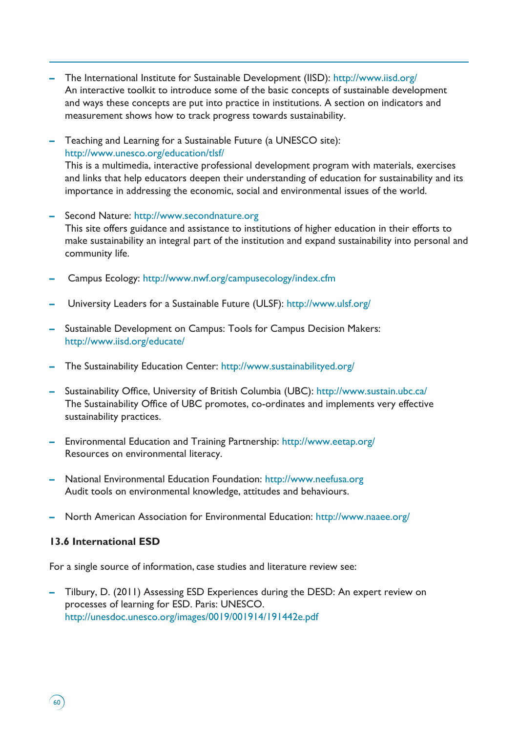- **–** The International Institute for Sustainable Development (IISD): http://www.iisd.org/ An interactive toolkit to introduce some of the basic concepts of sustainable development and ways these concepts are put into practice in institutions. A section on indicators and measurement shows how to track progress towards sustainability.
- **–** Teaching and Learning for a Sustainable Future (a UNESCO site): http://www.unesco.org/education/tlsf/ This is a multimedia, interactive professional development program with materials, exercises and links that help educators deepen their understanding of education for sustainability and its importance in addressing the economic, social and environmental issues of the world.
- **–** Second Nature: http://www.secondnature.org This site offers guidance and assistance to institutions of higher education in their efforts to make sustainability an integral part of the institution and expand sustainability into personal and community life.
- **–** Campus Ecology: http://www.nwf.org/campusecology/index.cfm
- **–** University Leaders for a Sustainable Future (ULSF): http://www.ulsf.org/
- **–** Sustainable Development on Campus: Tools for Campus Decision Makers: http://www.iisd.org/educate/
- **–** The Sustainability Education Center: http://www.sustainabilityed.org/
- **–** Sustainability Office, University of British Columbia (UBC): http://www.sustain.ubc.ca/ The Sustainability Office of UBC promotes, co-ordinates and implements very effective sustainability practices.
- **–** Environmental Education and Training Partnership: http://www.eetap.org/ Resources on environmental literacy.
- **–** National Environmental Education Foundation: http://www.neefusa.org Audit tools on environmental knowledge, attitudes and behaviours.
- **–** North American Association for Environmental Education: http://www.naaee.org/

## **13.6 International ESD**

60

For a single source of information, case studies and literature review see:

**–** Tilbury, D. (2011) Assessing ESD Experiences during the DESD: An expert review on processes of learning for ESD. Paris: UNESCO. http://unesdoc.unesco.org/images/0019/001914/191442e.pdf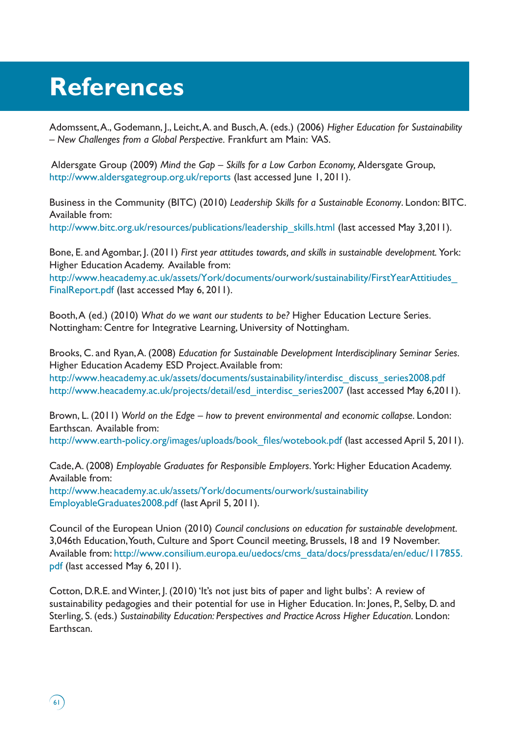# **References**

Adomssent, A., Godemann, J., Leicht, A. and Busch, A. (eds.) (2006) *Higher Education for Sustainability – New Challenges from a Global Perspective.* Frankfurt am Main: VAS.

 Aldersgate Group (2009) *Mind the Gap – Skills for a Low Carbon Economy,* Aldersgate Group, http://www.aldersgategroup.org.uk/reports (last accessed June 1, 2011).

Business in the Community (BITC) (2010) *Leadership Skills for a Sustainable Economy*. London: BITC. Available from: http://www.bitc.org.uk/resources/publications/leadership\_skills.html (last accessed May 3,2011).

Bone, E. and Agombar, J. (2011) *First year attitudes towards, and skills in sustainable development.* York: Higher Education Academy. Available from:

http://www.heacademy.ac.uk/assets/York/documents/ourwork/sustainability/FirstYearAttitiudes\_ FinalReport.pdf (last accessed May 6, 2011).

Booth, A (ed.) (2010) *What do we want our students to be?* Higher Education Lecture Series. Nottingham: Centre for Integrative Learning, University of Nottingham.

Brooks, C. and Ryan, A. (2008) *Education for Sustainable Development Interdisciplinary Seminar Series.* Higher Education Academy ESD Project. Available from: http://www.heacademy.ac.uk/assets/documents/sustainability/interdisc\_discuss\_series2008.pdf http://www.heacademy.ac.uk/projects/detail/esd interdisc series2007 (last accessed May 6,2011).

Brown, L. (2011) World on the Edge – how to prevent environmental and economic collapse. London: Earthscan. Available from:

http://www.earth-policy.org/images/uploads/book\_files/wotebook.pdf (last accessed April 5, 2011).

Cade, A. (2008) *Employable Graduates for Responsible Employers.* York: Higher Education Academy. Available from: http://www.heacademy.ac.uk/assets/York/documents/ourwork/sustainability

EmployableGraduates2008.pdf (last April 5, 2011).

Council of the European Union (2010) *Council conclusions on education for sustainable development*. 3,046th Education, Youth, Culture and Sport Council meeting, Brussels, 18 and 19 November. Available from: http://www.consilium.europa.eu/uedocs/cms\_data/docs/pressdata/en/educ/117855. pdf (last accessed May 6, 2011).

Cotton, D.R.E. and Winter, J. (2010) 'It's not just bits of paper and light bulbs': A review of sustainability pedagogies and their potential for use in Higher Education. In: Jones, P., Selby, D. and Sterling, S. (eds.) Sustainability Education: Perspectives and Practice Across Higher Education. London: Earthscan.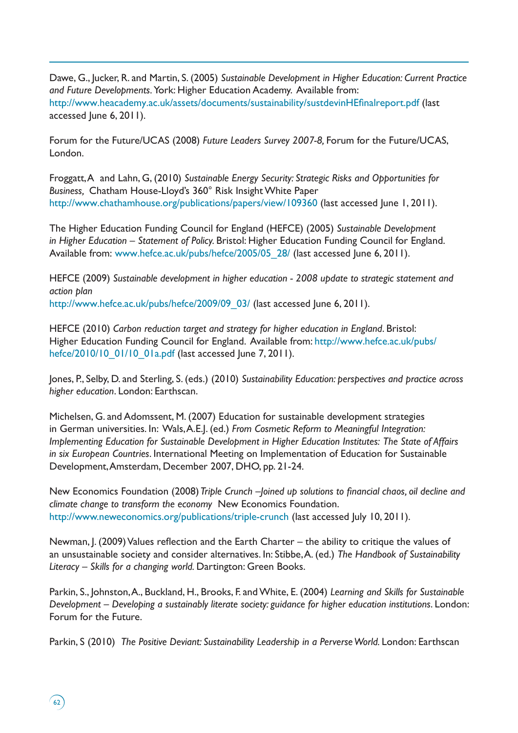Dawe, G., Jucker, R. and Martin, S. (2005) *Sustainable Development in Higher Education: Current Practice and Future Developments.* York: Higher Education Academy. Available from: http://www.heacademy.ac.uk/assets/documents/sustainability/sustdevinHEfinalreport.pdf (last accessed June 6, 2011).

Forum for the Future/UCAS (2008) *Future Leaders Survey 2007-8,* Forum for the Future/UCAS, London.

Froggatt, A and Lahn, G, (2010) *Sustainable Energy Security: Strategic Risks and Opportunities for Business,* Chatham House-Lloyd's 360° Risk Insight White Paper http://www.chathamhouse.org/publications/papers/view/109360 (last accessed June 1, 2011).

The Higher Education Funding Council for England (HEFCE) (2005) *Sustainable Development in Higher Education – Statement of Policy.* Bristol: Higher Education Funding Council for England. Available from: www.hefce.ac.uk/pubs/hefce/2005/05\_28/ (last accessed June 6, 2011).

HEFCE (2009) *Sustainable development in higher education - 2008 update to strategic statement and action plan* http://www.hefce.ac.uk/pubs/hefce/2009/09\_03/ (last accessed June 6, 2011).

HEFCE (2010) *Carbon reduction target and strategy for higher education in England*. Bristol: Higher Education Funding Council for England. Available from: http://www.hefce.ac.uk/pubs/ hefce/2010/10 01/10 01a.pdf (last accessed June 7, 2011).

Jones, P., Selby, D. and Sterling, S. (eds.) (2010) *Sustainability Education: perspectives and practice across higher education*. London: Earthscan.

Michelsen, G. and Adomssent, M. (2007) Education for sustainable development strategies in German universities. In: Wals, A.E.J. (ed.) *From Cosmetic Reform to Meaningful Integration: Implementing Education for Sustainable Development in Higher Education Institutes: The State of Affairs in six European Countries*. International Meeting on Implementation of Education for Sustainable Development, Amsterdam, December 2007, DHO, pp. 21-24.

New Economics Foundation (2008) *Triple Crunch –Joined up solutions to financial chaos, oil decline and climate change to transform the economy* New Economics Foundation. http://www.neweconomics.org/publications/triple-crunch (last accessed July 10, 2011).

Newman, J. (2009) Values reflection and the Earth Charter – the ability to critique the values of an unsustainable society and consider alternatives. In: Stibbe, A. (ed.) *The Handbook of Sustainability Literacy – Skills for a changing world.* Dartington: Green Books.

Parkin, S., Johnston, A., Buckland, H., Brooks, F. and White, E. (2004) *Learning and Skills for Sustainable Development – Developing a sustainably literate society: guidance for higher education institutions*. London: Forum for the Future.

Parkin, S (2010) *The Positive Deviant: Sustainability Leadership in a Perverse World. London: Earthscan* 

62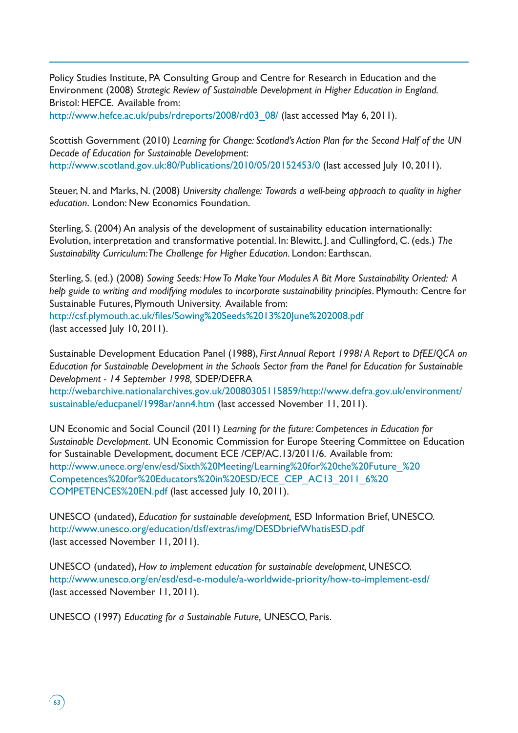Policy Studies Institute, PA Consulting Group and Centre for Research in Education and the Environment (2008) *Strategic Review of Sustainable Development in Higher Education in England.* Bristol: HEFCE. Available from:

http://www.hefce.ac.uk/pubs/rdreports/2008/rd03\_08/ (last accessed May 6, 2011).

Scottish Government (2010) *Learning for Change: Scotland's Action Plan for the Second Half of the UN Decade of Education for Sustainable Development*: http://www.scotland.gov.uk:80/Publications/2010/05/20152453/0 (last accessed July 10, 2011).

Steuer, N. and Marks, N. (2008) *University challenge: Towards a well-being approach to quality in higher education*. London: New Economics Foundation.

Sterling, S. (2004) An analysis of the development of sustainability education internationally: Evolution, interpretation and transformative potential. In: Blewitt, J. and Cullingford, C. (eds.) *The Sustainability Curriculum: The Challenge for Higher Education.* London: Earthscan.

Sterling, S. (ed.) (2008) *Sowing Seeds: How To Make Your Modules A Bit More Sustainability Oriented: A help guide to writing and modifying modules to incorporate sustainability principles*. Plymouth: Centre for Sustainable Futures, Plymouth University. Available from: http://csf.plymouth.ac.uk/files/Sowing%20Seeds%2013%20June%202008.pdf

(last accessed July 10, 2011).

Sustainable Development Education Panel (1988), *First Annual Report 1998/ A Report to DfEE/QCA on Education for Sustainable Development in the Schools Sector from the Panel for Education for Sustainable Development - 14 September 1998,* SDEP/DEFRA

http://webarchive.nationalarchives.gov.uk/20080305115859/http://www.defra.gov.uk/environment/ sustainable/educpanel/1998ar/ann4.htm (last accessed November 11, 2011).

UN Economic and Social Council (2011) *Learning for the future: Competences in Education for Sustainable Development*. UN Economic Commission for Europe Steering Committee on Education for Sustainable Development, document ECE /CEP/AC.13/2011/6. Available from: http://www.unece.org/env/esd/Sixth%20Meeting/Learning%20for%20the%20Future\_%20 Competences%20for%20Educators%20in%20ESD/ECE\_CEP\_AC13\_2011\_6%20 COMPETENCES%20EN.pdf (last accessed July 10, 2011).

UNESCO (undated), *Education for sustainable development,* ESD Information Brief, UNESCO. http://www.unesco.org/education/tlsf/extras/img/DESDbriefWhatisESD.pdf (last accessed November 11, 2011).

UNESCO (undated), *How to implement education for sustainable development,* UNESCO. http://www.unesco.org/en/esd/esd-e-module/a-worldwide-priority/how-to-implement-esd/ (last accessed November 11, 2011).

UNESCO (1997) *Educating for a Sustainable Future,* UNESCO, Paris.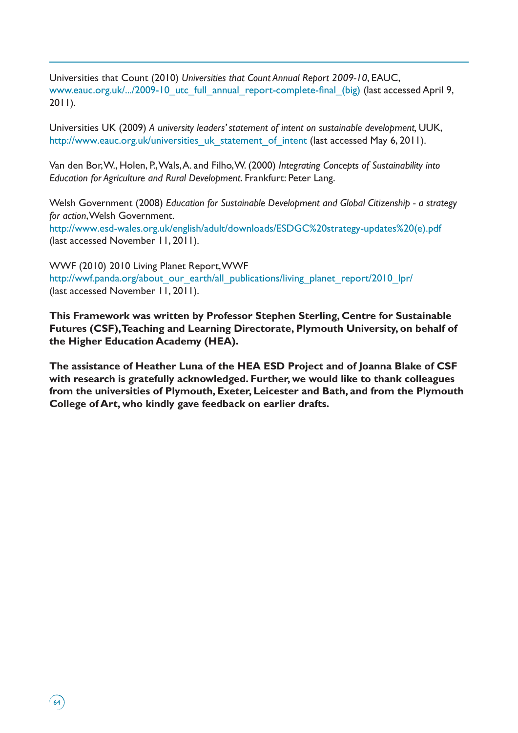Universities that Count (2010) *Universities that Count Annual Report 2009-10*, EAUC, www.eauc.org.uk/.../2009-10 utc full annual report-complete-final (big) (last accessed April 9, 2011).

Universities UK (2009) *A university leaders' statement of intent on sustainable development,* UUK, http://www.eauc.org.uk/universities\_uk\_statement\_of\_intent (last accessed May 6, 2011).

Van den Bor, W., Holen, P., Wals, A. and Filho, W. (2000) *Integrating Concepts of Sustainability into Education for Agriculture and Rural Development*. Frankfurt: Peter Lang.

Welsh Government (2008) *Education for Sustainable Development and Global Citizenship - a strategy for action*,Welsh Government. http://www.esd-wales.org.uk/english/adult/downloads/ESDGC%20strategy-updates%20(e).pdf (last accessed November 11, 2011).

WWF (2010) 2010 Living Planet Report, WWF http://wwf.panda.org/about\_our\_earth/all\_publications/living\_planet\_report/2010\_lpr/ (last accessed November 11, 2011).

 $(64)$ 

**This Framework was written by Professor Stephen Sterling, Centre for Sustainable Futures (CSF), Teaching and Learning Directorate, Plymouth University, on behalf of the Higher Education Academy (HEA).** 

**The assistance of Heather Luna of the HEA ESD Project and of Joanna Blake of CSF with research is gratefully acknowledged. Further, we would like to thank colleagues from the universities of Plymouth, Exeter, Leicester and Bath, and from the Plymouth College of Art, who kindly gave feedback on earlier drafts.**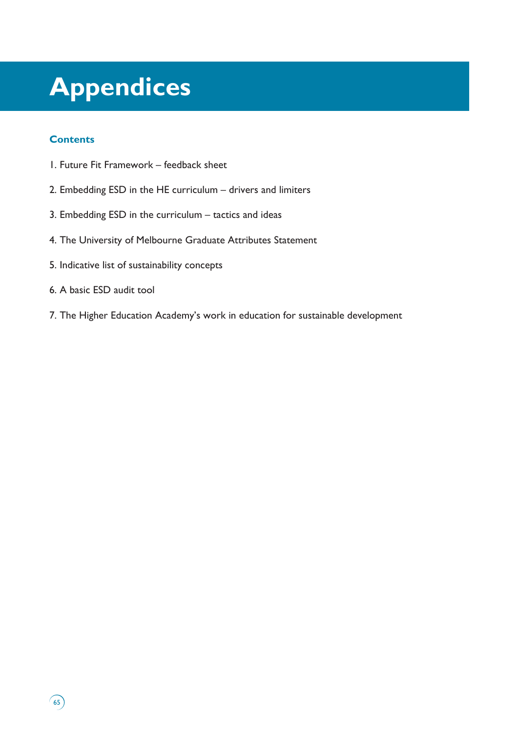# **Appendices**

# **Contents**

 $65)$ 

- 1. Future Fit Framework feedback sheet
- 2. Embedding ESD in the HE curriculum drivers and limiters
- 3. Embedding ESD in the curriculum tactics and ideas
- 4. The University of Melbourne Graduate Attributes Statement
- 5. Indicative list of sustainability concepts
- 6. A basic ESD audit tool
- 7. The Higher Education Academy's work in education for sustainable development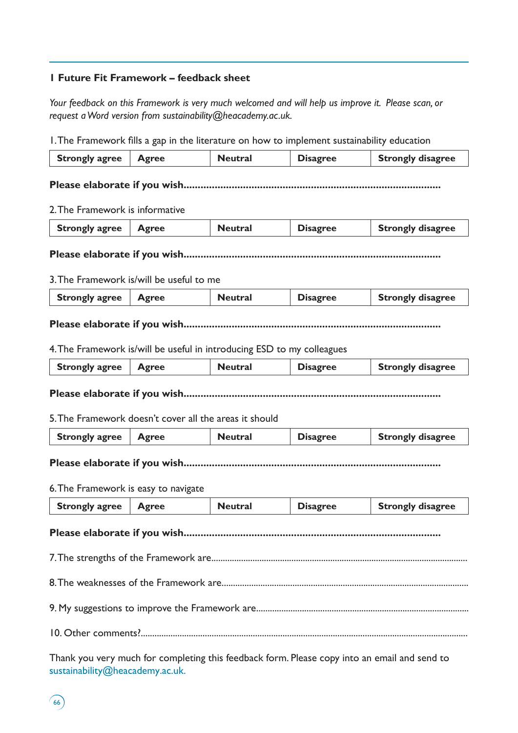# **1 Future Fit Framework – feedback sheet**

*Your feedback on this Framework is very much welcomed and will help us improve it. Please scan, or request a Word version from sustainability@heacademy.ac.uk.* 

1. The Framework fills a gap in the literature on how to implement sustainability education

| <b>Strongly agree</b>                                                  | <b>Agree</b> | <b>Neutral</b> | reflect rancework mis a gap in the literature on now to implement sustainability coutation<br><b>Disagree</b> | <b>Strongly disagree</b> |
|------------------------------------------------------------------------|--------------|----------------|---------------------------------------------------------------------------------------------------------------|--------------------------|
|                                                                        |              |                |                                                                                                               |                          |
|                                                                        |              |                |                                                                                                               |                          |
|                                                                        |              |                |                                                                                                               |                          |
| 2. The Framework is informative                                        |              |                |                                                                                                               |                          |
| <b>Strongly agree</b>                                                  | <b>Agree</b> | <b>Neutral</b> | <b>Disagree</b>                                                                                               | <b>Strongly disagree</b> |
|                                                                        |              |                |                                                                                                               |                          |
| 3. The Framework is/will be useful to me                               |              |                |                                                                                                               |                          |
| <b>Strongly agree</b>                                                  | <b>Agree</b> | <b>Neutral</b> | <b>Disagree</b>                                                                                               | <b>Strongly disagree</b> |
|                                                                        |              |                |                                                                                                               |                          |
| 4. The Framework is/will be useful in introducing ESD to my colleagues |              |                |                                                                                                               |                          |
| <b>Strongly agree</b>                                                  | <b>Agree</b> | <b>Neutral</b> | <b>Disagree</b>                                                                                               | <b>Strongly disagree</b> |
| 5. The Framework doesn't cover all the areas it should                 |              |                |                                                                                                               |                          |
| <b>Strongly agree</b>                                                  | <b>Agree</b> | <b>Neutral</b> | <b>Disagree</b>                                                                                               | <b>Strongly disagree</b> |
| 6. The Framework is easy to navigate                                   |              |                |                                                                                                               |                          |
| <b>Strongly agree</b>                                                  | <b>Agree</b> | <b>Neutral</b> | <b>Disagree</b>                                                                                               | <b>Strongly disagree</b> |
| Please elaborate if you wish                                           |              |                |                                                                                                               |                          |
|                                                                        |              |                |                                                                                                               |                          |
|                                                                        |              |                |                                                                                                               |                          |
|                                                                        |              |                |                                                                                                               |                          |
|                                                                        |              |                |                                                                                                               |                          |

Thank you very much for completing this feedback form. Please copy into an email and send to sustainability@heacademy.ac.uk.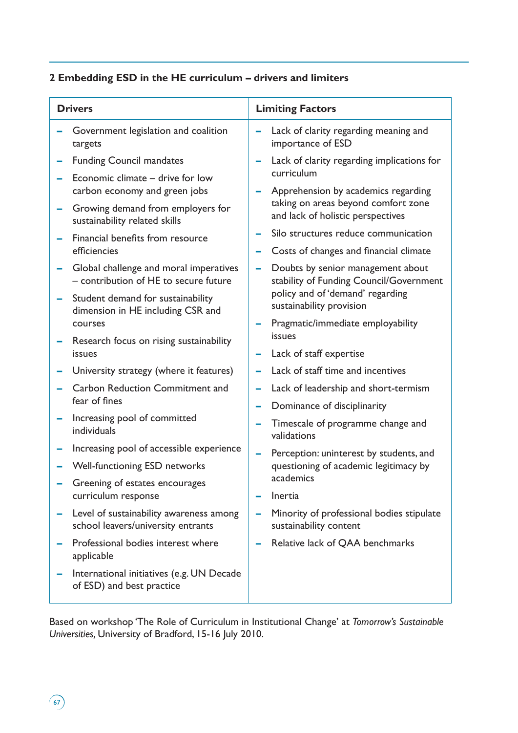# **2 Embedding ESD in the HE curriculum – drivers and limiters**

| <b>Drivers</b>                                                                  | <b>Limiting Factors</b> |                                                                                |  |
|---------------------------------------------------------------------------------|-------------------------|--------------------------------------------------------------------------------|--|
| Government legislation and coalition<br>targets                                 |                         | Lack of clarity regarding meaning and<br>importance of ESD                     |  |
| <b>Funding Council mandates</b><br>Economic climate - drive for low             | ۰                       | Lack of clarity regarding implications for<br>curriculum                       |  |
| carbon economy and green jobs                                                   |                         | Apprehension by academics regarding<br>taking on areas beyond comfort zone     |  |
| Growing demand from employers for<br>sustainability related skills              |                         | and lack of holistic perspectives                                              |  |
| Financial benefits from resource<br>efficiencies                                | -                       | Silo structures reduce communication<br>Costs of changes and financial climate |  |
| Global challenge and moral imperatives<br>- contribution of HE to secure future | ÷                       | Doubts by senior management about<br>stability of Funding Council/Government   |  |
| Student demand for sustainability<br>dimension in HE including CSR and          |                         | policy and of 'demand' regarding<br>sustainability provision                   |  |
| courses<br>Research focus on rising sustainability                              |                         | Pragmatic/immediate employability<br>issues                                    |  |
| issues                                                                          |                         | Lack of staff expertise                                                        |  |
| University strategy (where it features)                                         |                         | Lack of staff time and incentives                                              |  |
| <b>Carbon Reduction Commitment and</b><br>fear of fines                         |                         | Lack of leadership and short-termism                                           |  |
|                                                                                 |                         | Dominance of disciplinarity                                                    |  |
| Increasing pool of committed<br>individuals                                     | ÷                       | Timescale of programme change and<br>validations                               |  |
| Increasing pool of accessible experience                                        | -                       | Perception: uninterest by students, and                                        |  |
| Well-functioning ESD networks                                                   |                         | questioning of academic legitimacy by                                          |  |
| Greening of estates encourages<br>curriculum response                           |                         | academics<br>Inertia                                                           |  |
| Level of sustainability awareness among<br>school leavers/university entrants   |                         | Minority of professional bodies stipulate<br>sustainability content            |  |
| Professional bodies interest where<br>applicable                                |                         | Relative lack of QAA benchmarks                                                |  |
| International initiatives (e.g. UN Decade<br>of ESD) and best practice          |                         |                                                                                |  |

Based on workshop 'The Role of Curriculum in Institutional Change' at *Tomorrow's Sustainable Universities,* University of Bradford, 15-16 July 2010.

 $\binom{67}{ }$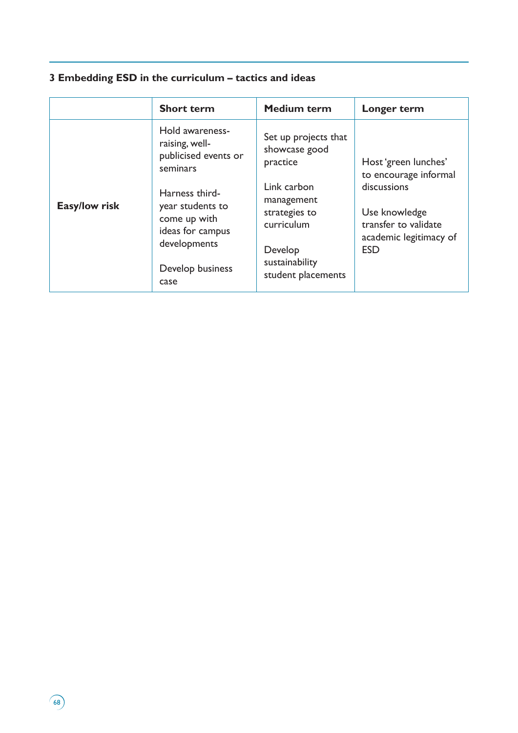# **3 Embedding ESD in the curriculum – tactics and ideas**

|               | <b>Short term</b>                                                                                                                                                                           | <b>Medium term</b>                                                                                                                                               | Longer term                                                                                                                                   |
|---------------|---------------------------------------------------------------------------------------------------------------------------------------------------------------------------------------------|------------------------------------------------------------------------------------------------------------------------------------------------------------------|-----------------------------------------------------------------------------------------------------------------------------------------------|
| Easy/low risk | Hold awareness-<br>raising, well-<br>publicised events or<br>seminars<br>Harness third-<br>year students to<br>come up with<br>ideas for campus<br>developments<br>Develop business<br>case | Set up projects that<br>showcase good<br>practice<br>Link carbon<br>management<br>strategies to<br>curriculum<br>Develop<br>sustainability<br>student placements | Host 'green lunches'<br>to encourage informal<br>discussions<br>Use knowledge<br>transfer to validate<br>academic legitimacy of<br><b>ESD</b> |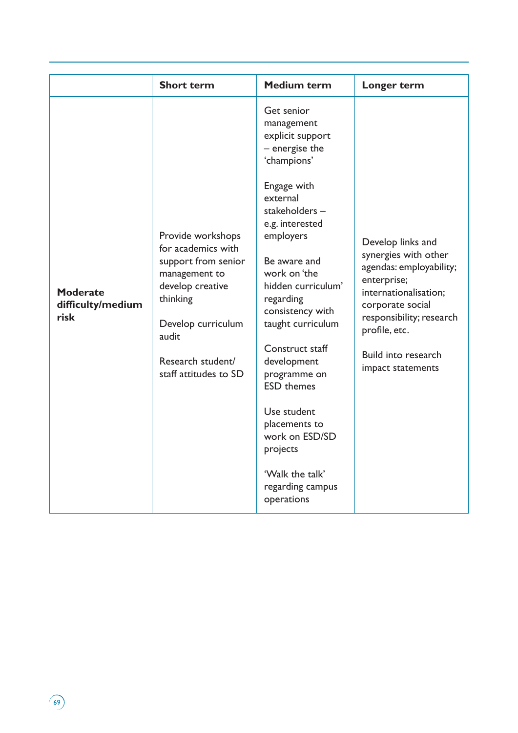|                                              | <b>Short term</b>                                                                                                                                                                            | <b>Medium term</b>                                                                                                                                                                                                                                                                                                                                                                                                                                              | Longer term                                                                                                                                                                                                               |
|----------------------------------------------|----------------------------------------------------------------------------------------------------------------------------------------------------------------------------------------------|-----------------------------------------------------------------------------------------------------------------------------------------------------------------------------------------------------------------------------------------------------------------------------------------------------------------------------------------------------------------------------------------------------------------------------------------------------------------|---------------------------------------------------------------------------------------------------------------------------------------------------------------------------------------------------------------------------|
| <b>Moderate</b><br>difficulty/medium<br>risk | Provide workshops<br>for academics with<br>support from senior<br>management to<br>develop creative<br>thinking<br>Develop curriculum<br>audit<br>Research student/<br>staff attitudes to SD | Get senior<br>management<br>explicit support<br>- energise the<br>'champions'<br>Engage with<br>external<br>stakeholders-<br>e.g. interested<br>employers<br>Be aware and<br>work on 'the<br>hidden curriculum'<br>regarding<br>consistency with<br>taught curriculum<br>Construct staff<br>development<br>programme on<br><b>ESD</b> themes<br>Use student<br>placements to<br>work on ESD/SD<br>projects<br>'Walk the talk'<br>regarding campus<br>operations | Develop links and<br>synergies with other<br>agendas: employability;<br>enterprise;<br>internationalisation;<br>corporate social<br>responsibility; research<br>profile, etc.<br>Build into research<br>impact statements |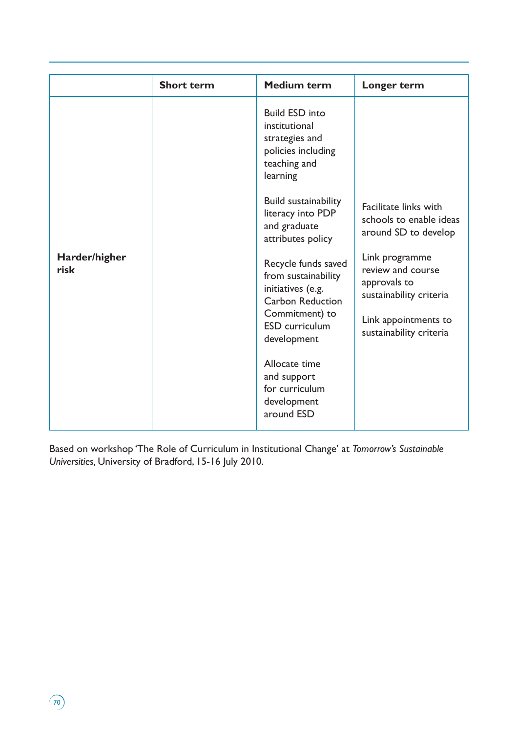|                       | <b>Short term</b> | <b>Medium term</b>                                                                                                                                   | Longer term                                                                                                                       |
|-----------------------|-------------------|------------------------------------------------------------------------------------------------------------------------------------------------------|-----------------------------------------------------------------------------------------------------------------------------------|
|                       |                   | <b>Build ESD into</b><br>institutional<br>strategies and<br>policies including<br>teaching and<br>learning                                           |                                                                                                                                   |
|                       |                   | Build sustainability<br>literacy into PDP<br>and graduate<br>attributes policy                                                                       | Facilitate links with<br>schools to enable ideas<br>around SD to develop                                                          |
| Harder/higher<br>risk |                   | Recycle funds saved<br>from sustainability<br>initiatives (e.g.<br><b>Carbon Reduction</b><br>Commitment) to<br><b>ESD</b> curriculum<br>development | Link programme<br>review and course<br>approvals to<br>sustainability criteria<br>Link appointments to<br>sustainability criteria |
|                       |                   | Allocate time<br>and support<br>for curriculum<br>development<br>around ESD                                                                          |                                                                                                                                   |

Based on workshop 'The Role of Curriculum in Institutional Change' at *Tomorrow's Sustainable Universities,* University of Bradford, 15-16 July 2010.

 $\sqrt{70}$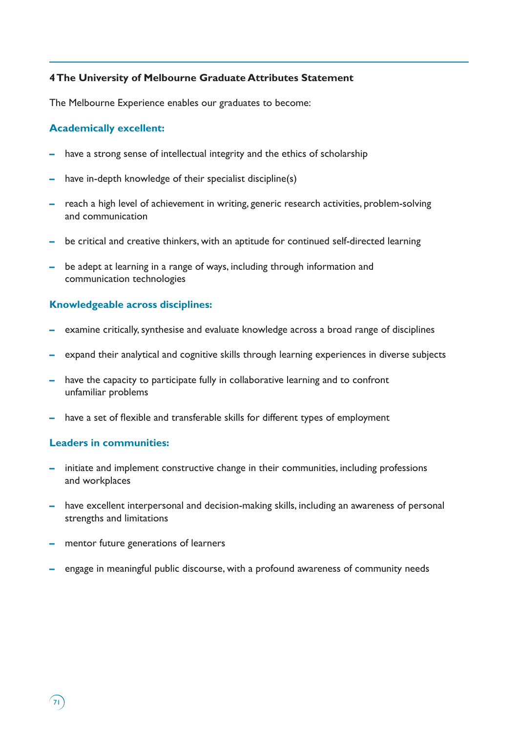## **4 The University of Melbourne Graduate Attributes Statement**

The Melbourne Experience enables our graduates to become:

# **Academically excellent:**

- **–** have a strong sense of intellectual integrity and the ethics of scholarship
- **–** have in-depth knowledge of their specialist discipline(s)
- **–** reach a high level of achievement in writing, generic research activities, problem-solving and communication
- **–** be critical and creative thinkers, with an aptitude for continued self-directed learning
- **–** be adept at learning in a range of ways, including through information and communication technologies

## **Knowledgeable across disciplines:**

- **–** examine critically, synthesise and evaluate knowledge across a broad range of disciplines
- **–** expand their analytical and cognitive skills through learning experiences in diverse subjects
- **–** have the capacity to participate fully in collaborative learning and to confront unfamiliar problems
- **–** have a set of flexible and transferable skills for different types of employment

## **Leaders in communities:**

 $\sqrt{71}$ 

- **–** initiate and implement constructive change in their communities, including professions and workplaces
- **–** have excellent interpersonal and decision-making skills, including an awareness of personal strengths and limitations
- **–** mentor future generations of learners
- **–** engage in meaningful public discourse, with a profound awareness of community needs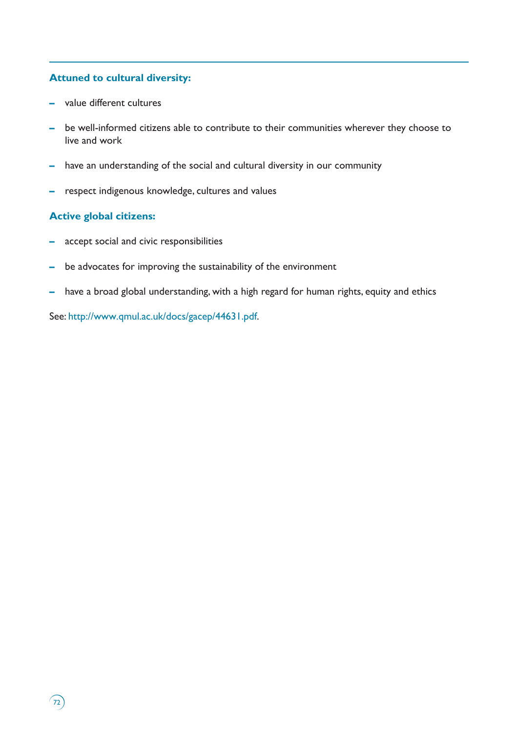# **Attuned to cultural diversity:**

- **–** value different cultures
- **–** be well-informed citizens able to contribute to their communities wherever they choose to live and work
- **–** have an understanding of the social and cultural diversity in our community
- **–** respect indigenous knowledge, cultures and values

# **Active global citizens:**

 $\binom{7}{2}$ 

- **–** accept social and civic responsibilities
- **–** be advocates for improving the sustainability of the environment
- **–** have a broad global understanding, with a high regard for human rights, equity and ethics

See: http://www.qmul.ac.uk/docs/gacep/44631.pdf.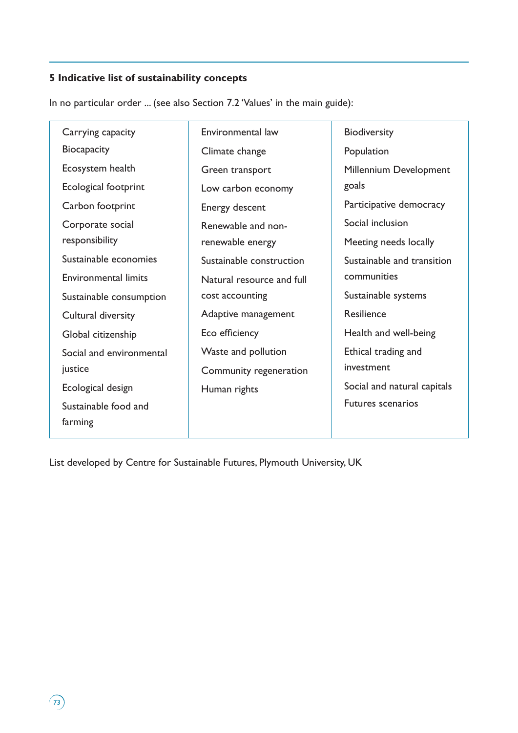# **5 Indicative list of sustainability concepts**

In no particular order ... (see also Section 7.2 'Values' in the main guide):

| Carrying capacity           | Environmental law         | <b>Biodiversity</b>         |
|-----------------------------|---------------------------|-----------------------------|
| Biocapacity                 | Climate change            | Population                  |
| Ecosystem health            | Green transport           | Millennium Development      |
| Ecological footprint        | Low carbon economy        | goals                       |
| Carbon footprint            | Energy descent            | Participative democracy     |
| Corporate social            | Renewable and non-        | Social inclusion            |
| responsibility              | renewable energy          | Meeting needs locally       |
| Sustainable economies       | Sustainable construction  | Sustainable and transition  |
| <b>Environmental limits</b> | Natural resource and full | communities                 |
| Sustainable consumption     | cost accounting           | Sustainable systems         |
| Cultural diversity          | Adaptive management       | Resilience                  |
| Global citizenship          | Eco efficiency            | Health and well-being       |
| Social and environmental    | Waste and pollution       | Ethical trading and         |
| justice                     | Community regeneration    | investment                  |
| Ecological design           | Human rights              | Social and natural capitals |
| Sustainable food and        |                           | <b>Futures scenarios</b>    |
| farming                     |                           |                             |

List developed by Centre for Sustainable Futures, Plymouth University, UK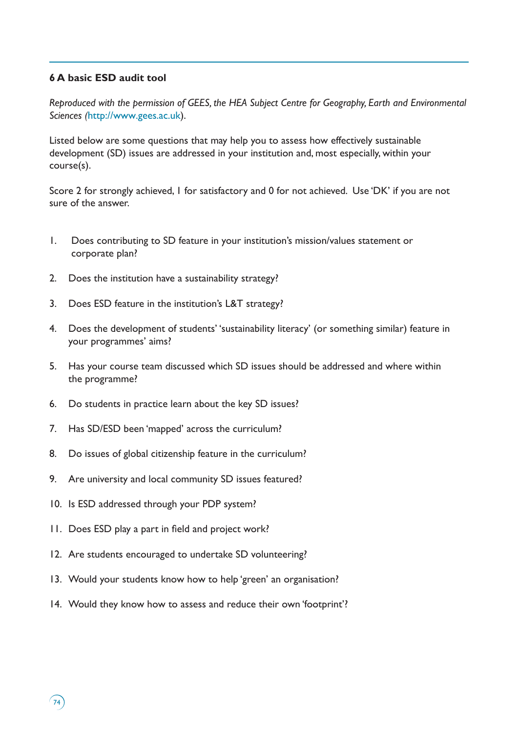### **6 A basic ESD audit tool**

*Reproduced with the permission of GEES, the HEA Subject Centre for Geography, Earth and Environmental Sciences (*http://www.gees.ac.uk).

Listed below are some questions that may help you to assess how effectively sustainable development (SD) issues are addressed in your institution and, most especially, within your course(s).

Score 2 for strongly achieved, 1 for satisfactory and 0 for not achieved. Use 'DK' if you are not sure of the answer.

- 1. Does contributing to SD feature in your institution's mission/values statement or corporate plan?
- 2. Does the institution have a sustainability strategy?
- 3. Does ESD feature in the institution's L&T strategy?
- 4. Does the development of students' 'sustainability literacy' (or something similar) feature in your programmes' aims?
- 5. Has your course team discussed which SD issues should be addressed and where within the programme?
- 6. Do students in practice learn about the key SD issues?
- 7. Has SD/ESD been 'mapped' across the curriculum?
- 8. Do issues of global citizenship feature in the curriculum?
- 9. Are university and local community SD issues featured?
- 10. Is ESD addressed through your PDP system?
- 11. Does ESD play a part in field and project work?
- 12. Are students encouraged to undertake SD volunteering?
- 13. Would your students know how to help 'green' an organisation?
- 14. Would they know how to assess and reduce their own 'footprint'?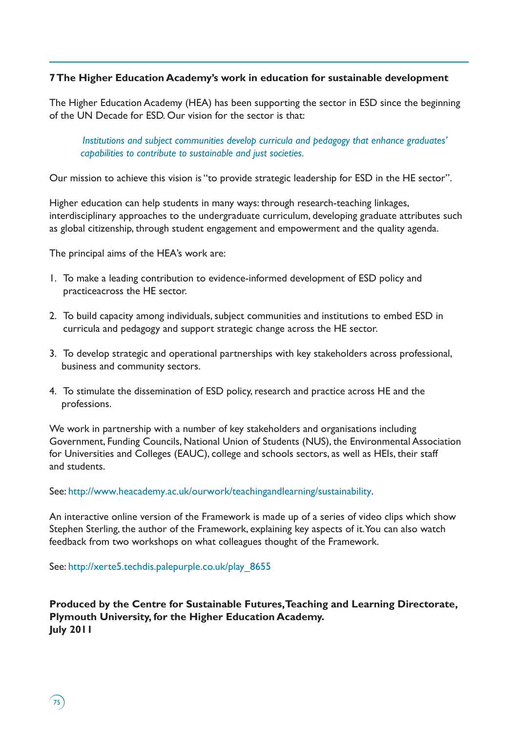### **7 The Higher Education Academy's work in education for sustainable development**

The Higher Education Academy (HEA) has been supporting the sector in ESD since the beginning of the UN Decade for ESD. Our vision for the sector is that:

*Institutions and subject communities develop curricula and pedagogy that enhance graduates' capabilities to contribute to sustainable and just societies.*

Our mission to achieve this vision is "to provide strategic leadership for ESD in the HE sector".

Higher education can help students in many ways: through research-teaching linkages, interdisciplinary approaches to the undergraduate curriculum, developing graduate attributes such as global citizenship, through student engagement and empowerment and the quality agenda.

The principal aims of the HEA's work are:

- 1. To make a leading contribution to evidence-informed development of ESD policy and practiceacross the HE sector.
- 2. To build capacity among individuals, subject communities and institutions to embed ESD in curricula and pedagogy and support strategic change across the HE sector.
- 3. To develop strategic and operational partnerships with key stakeholders across professional, business and community sectors.
- 4. To stimulate the dissemination of ESD policy, research and practice across HE and the professions.

We work in partnership with a number of key stakeholders and organisations including Government, Funding Councils, National Union of Students (NUS), the Environmental Association for Universities and Colleges (EAUC), college and schools sectors, as well as HEIs, their staff and students.

See: http://www.heacademy.ac.uk/ourwork/teachingandlearning/sustainability.

An interactive online version of the Framework is made up of a series of video clips which show Stephen Sterling, the author of the Framework, explaining key aspects of it. You can also watch feedback from two workshops on what colleagues thought of the Framework.

See: http://xerte5.techdis.palepurple.co.uk/play\_8655

 $75$ 

**Produced by the Centre for Sustainable Futures, Teaching and Learning Directorate, Plymouth University, for the Higher Education Academy. July 2011**